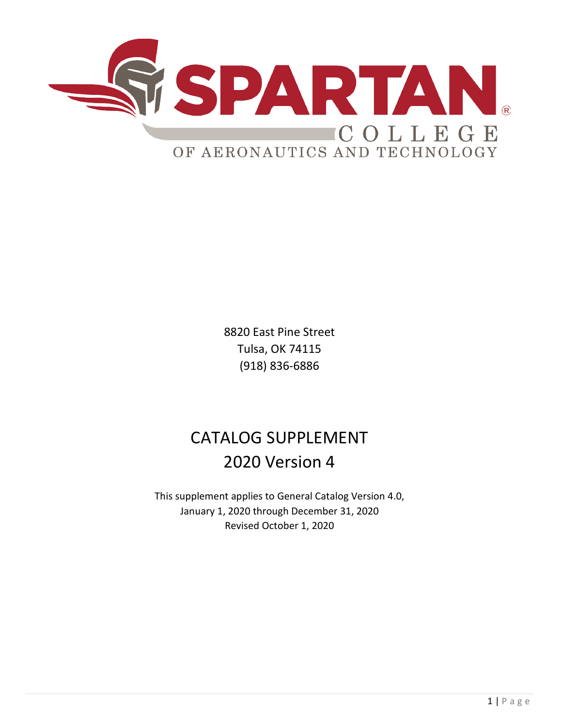

8820 East Pine Street Tulsa, OK 74115 (918) 836-6886

# CATALOG SUPPLEMENT 2020 Version 4

This supplement applies to General Catalog Version 4.0, January 1, 2020 through December 31, 2020 Revised October 1, 2020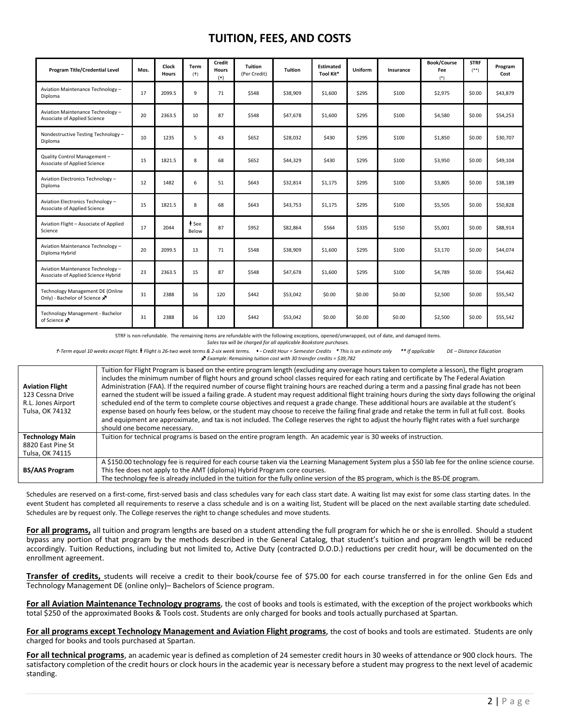#### **TUITION, FEES, AND COSTS**

| Program Title/Credential Level                                                        | Mos. | Clock<br><b>Hours</b> | Term<br>$(+)$    | Credit<br><b>Hours</b><br>(•) | <b>Tuition</b><br>(Per Credit) | <b>Tuition</b> | Estimated<br>Tool Kit* | Uniform | Insurance | <b>Book/Course</b><br>Fee<br>$(*)$ | <b>STRF</b><br>$(***)$ | Program<br>Cost |
|---------------------------------------------------------------------------------------|------|-----------------------|------------------|-------------------------------|--------------------------------|----------------|------------------------|---------|-----------|------------------------------------|------------------------|-----------------|
| Aviation Maintenance Technology -<br>Diploma                                          | 17   | 2099.5                | 9                | 71                            | \$548                          | \$38,909       | \$1,600                | \$295   | \$100     | \$2,975                            | \$0.00                 | \$43,879        |
| Aviation Maintenance Technology -<br>Associate of Applied Science                     | 20   | 2363.5                | 10               | 87                            | \$548                          | \$47,678       | \$1,600                | \$295   | \$100     | \$4,580                            | \$0.00                 | \$54,253        |
| Nondestructive Testing Technology -<br>Diploma                                        | 10   | 1235                  | 5                | 43                            | \$652                          | \$28,032       | \$430                  | \$295   | \$100     | \$1,850                            | \$0.00                 | \$30,707        |
| Quality Control Management-<br>Associate of Applied Science                           | 15   | 1821.5                | 8                | 68                            | \$652                          | \$44,329       | \$430                  | \$295   | \$100     | \$3,950                            | \$0.00                 | \$49,104        |
| Aviation Electronics Technology -<br>Diploma                                          | 12   | 1482                  | 6                | 51                            | \$643                          | \$32,814       | \$1,175                | \$295   | \$100     | \$3,805                            | \$0.00                 | \$38,189        |
| Aviation Electronics Technology -<br>Associate of Applied Science                     | 15   | 1821.5                | 8                | 68                            | \$643                          | \$43,753       | \$1,175                | \$295   | \$100     | \$5,505                            | \$0.00                 | \$50,828        |
| Aviation Flight - Associate of Applied<br>Science                                     | 17   | 2044                  | $t$ See<br>Below | 87                            | \$952                          | \$82,864       | \$564                  | \$335   | \$150     | \$5,001                            | \$0.00                 | \$88,914        |
| Aviation Maintenance Technology -<br>Diploma Hybrid                                   | 20   | 2099.5                | 13               | 71                            | \$548                          | \$38,909       | \$1,600                | \$295   | \$100     | \$3,170                            | \$0.00                 | \$44,074        |
| Aviation Maintenance Technology -<br>Associate of Applied Science Hybrid              | 23   | 2363.5                | 15               | 87                            | \$548                          | \$47,678       | \$1,600                | \$295   | \$100     | \$4,789                            | \$0.00                 | \$54,462        |
| Technology Management DE (Online<br>Only) - Bachelor of Science $\mathbf{x}^{\prime}$ | 31   | 2388                  | 16               | 120                           | \$442                          | \$53,042       | \$0.00                 | \$0.00  | \$0.00    | \$2,500                            | \$0.00                 | \$55,542        |
| Technology Management - Bachelor<br>of Science X                                      | 31   | 2388                  | 16               | 120                           | \$442                          | \$53,042       | \$0.00                 | \$0.00  | \$0.00    | \$2,500                            | \$0.00                 | \$55,542        |

STRF is non-refundable. The remaining items are refundable with the following exceptions, opened/unwrapped, out of date, and damaged items.

*Sales tax will be charged for all applicable Bookstore purchases.*

+-Term equal 10 weeks except Flight. + Flight is 26-two week terms & 2-six week terms. \*- Credit Hour = Semester Credits \* This is an estimate only \*\* If applicable DE-Distance Education *Example: Remaining tuition cost with 30 transfer credits = \$39,782*

| <b>Aviation Flight</b><br>123 Cessna Drive<br>R.L. Jones Airport<br>Tulsa, OK 74132 | Tuition for Flight Program is based on the entire program length (excluding any overage hours taken to complete a lesson), the flight program<br>includes the minimum number of flight hours and ground school classes required for each rating and certificate by The Federal Aviation<br>Administration (FAA). If the required number of course flight training hours are reached during a term and a passing final grade has not been<br>earned the student will be issued a failing grade. A student may request additional flight training hours during the sixty days following the original<br>scheduled end of the term to complete course objectives and request a grade change. These additional hours are available at the student's<br>expense based on hourly fees below, or the student may choose to receive the failing final grade and retake the term in full at full cost. Books<br>and equipment are approximate, and tax is not included. The College reserves the right to adjust the hourly flight rates with a fuel surcharge<br>should one become necessary. |
|-------------------------------------------------------------------------------------|---------------------------------------------------------------------------------------------------------------------------------------------------------------------------------------------------------------------------------------------------------------------------------------------------------------------------------------------------------------------------------------------------------------------------------------------------------------------------------------------------------------------------------------------------------------------------------------------------------------------------------------------------------------------------------------------------------------------------------------------------------------------------------------------------------------------------------------------------------------------------------------------------------------------------------------------------------------------------------------------------------------------------------------------------------------------------------------|
| <b>Technology Main</b><br>8820 East Pine St<br>Tulsa, OK 74115                      | Tuition for technical programs is based on the entire program length. An academic year is 30 weeks of instruction.                                                                                                                                                                                                                                                                                                                                                                                                                                                                                                                                                                                                                                                                                                                                                                                                                                                                                                                                                                    |
| <b>BS/AAS Program</b>                                                               | A \$150.00 technology fee is required for each course taken via the Learning Management System plus a \$50 lab fee for the online science course.<br>This fee does not apply to the AMT (diploma) Hybrid Program core courses.<br>The technology fee is already included in the tuition for the fully online version of the BS program, which is the BS-DE program.                                                                                                                                                                                                                                                                                                                                                                                                                                                                                                                                                                                                                                                                                                                   |

Schedules are reserved on a first-come, first-served basis and class schedules vary for each class start date. A waiting list may exist for some class starting dates. In the event Student has completed all requirements to reserve a class schedule and is on a waiting list, Student will be placed on the next available starting date scheduled. Schedules are by request only. The College reserves the right to change schedules and move students.

**For all programs,** all tuition and program lengths are based on a student attending the full program for which he or she is enrolled. Should a student bypass any portion of that program by the methods described in the General Catalog, that student's tuition and program length will be reduced accordingly. Tuition Reductions, including but not limited to, Active Duty (contracted D.O.D.) reductions per credit hour, will be documented on the enrollment agreement.

**Transfer of credits,** students will receive a credit to their book/course fee of \$75.00 for each course transferred in for the online Gen Eds and Technology Management DE (online only)– Bachelors of Science program.

For all Aviation Maintenance Technology programs, the cost of books and tools is estimated, with the exception of the project workbooks which total \$250 of the approximated Books & Tools cost. Students are only charged for books and tools actually purchased at Spartan.

For all programs except Technology Management and Aviation Flight programs, the cost of books and tools are estimated. Students are only charged for books and tools purchased at Spartan.

**For all technical programs**, an academic year is defined as completion of 24 semester credit hours in 30 weeks of attendance or 900 clock hours. The satisfactory completion of the credit hours or clock hours in the academic year is necessary before a student may progress to the next level of academic standing.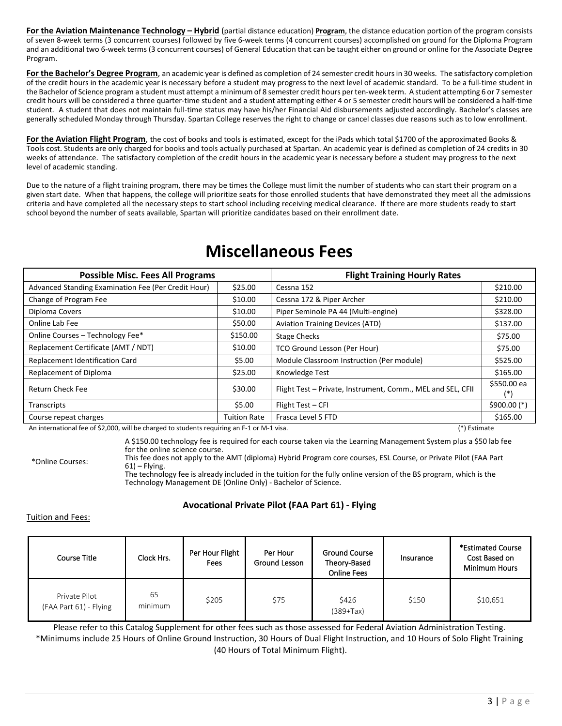**For the Aviation Maintenance Technology – Hybrid** (partial distance education) **Program**, the distance education portion of the program consists of seven 8-week terms (3 concurrent courses) followed by five 6-week terms (4 concurrent courses) accomplished on ground for the Diploma Program and an additional two 6-week terms (3 concurrent courses) of General Education that can be taught either on ground or online for the Associate Degree Program.

**For the Bachelor's Degree Program**, an academic year is defined as completion of 24 semester credit hours in 30 weeks. The satisfactory completion of the credit hours in the academic year is necessary before a student may progress to the next level of academic standard. To be a full-time student in the Bachelor of Science program a student must attempt a minimum of 8 semester credit hours per ten-week term. A student attempting 6 or 7 semester credit hours will be considered a three quarter-time student and a student attempting either 4 or 5 semester credit hours will be considered a half-time student. A student that does not maintain full-time status may have his/her Financial Aid disbursements adjusted accordingly. Bachelor's classes are generally scheduled Monday through Thursday. Spartan College reserves the right to change or cancel classes due reasons such as to low enrollment.

**For the Aviation Flight Program**, the cost of books and tools is estimated, except for the iPads which total \$1700 of the approximated Books & Tools cost. Students are only charged for books and tools actually purchased at Spartan. An academic year is defined as completion of 24 credits in 30 weeks of attendance. The satisfactory completion of the credit hours in the academic year is necessary before a student may progress to the next level of academic standing.

Due to the nature of a flight training program, there may be times the College must limit the number of students who can start their program on a given start date. When that happens, the college will prioritize seats for those enrolled students that have demonstrated they meet all the admissions criteria and have completed all the necessary steps to start school including receiving medical clearance. If there are more students ready to start school beyond the number of seats available, Spartan will prioritize candidates based on their enrollment date.

| <b>Possible Misc. Fees All Programs</b>                                                                                                                                                                                                                    |                     | <b>Flight Training Hourly Rates</b>                         |               |  |  |  |
|------------------------------------------------------------------------------------------------------------------------------------------------------------------------------------------------------------------------------------------------------------|---------------------|-------------------------------------------------------------|---------------|--|--|--|
| Advanced Standing Examination Fee (Per Credit Hour)                                                                                                                                                                                                        | \$25.00             | Cessna 152                                                  | \$210.00      |  |  |  |
| Change of Program Fee                                                                                                                                                                                                                                      | \$10.00             | Cessna 172 & Piper Archer                                   | \$210.00      |  |  |  |
| Diploma Covers                                                                                                                                                                                                                                             | \$10.00             | Piper Seminole PA 44 (Multi-engine)                         | \$328.00      |  |  |  |
| Online Lab Fee                                                                                                                                                                                                                                             | \$50.00             | <b>Aviation Training Devices (ATD)</b>                      | \$137.00      |  |  |  |
| Online Courses - Technology Fee*                                                                                                                                                                                                                           | \$150.00            | <b>Stage Checks</b>                                         | \$75.00       |  |  |  |
| Replacement Certificate (AMT / NDT)                                                                                                                                                                                                                        | \$10.00             | TCO Ground Lesson (Per Hour)                                | \$75.00       |  |  |  |
| Replacement Identification Card                                                                                                                                                                                                                            | \$5.00              | Module Classroom Instruction (Per module)                   | \$525.00      |  |  |  |
| Replacement of Diploma                                                                                                                                                                                                                                     | \$25.00             | Knowledge Test                                              | \$165.00      |  |  |  |
| <b>Return Check Fee</b>                                                                                                                                                                                                                                    | \$30.00             | Flight Test - Private, Instrument, Comm., MEL and SEL, CFII | \$550.00 ea   |  |  |  |
| Transcripts                                                                                                                                                                                                                                                | \$5.00              | Flight Test - CFI                                           | $$900.00$ (*) |  |  |  |
| Course repeat charges<br>$\mathbf{A}$ , and the company of the state of the state of the state of the state of the state of the state of the state of the state of the state of the state of the state of the state of the state of the state of the state | <b>Tuition Rate</b> | Frasca Level 5 FTD                                          | \$165.00      |  |  |  |

### **Miscellaneous Fees**

An international fee of \$2,000, will be charged to students requiring an F-1 or M-1 visa. (\*) And international fee of \$2,000, will be charged to students requiring an F-1 or M-1 visa.

A \$150.00 technology fee is required for each course taken via the Learning Management System plus a \$50 lab fee for the online science course.

\*Online Courses:

This fee does not apply to the AMT (diploma) Hybrid Program core courses, ESL Course, or Private Pilot (FAA Part  $61$ ) – Flying.

The technology fee is already included in the tuition for the fully online version of the BS program, which is the Technology Management DE (Online Only) - Bachelor of Science.

#### **Avocational Private Pilot (FAA Part 61) - Flying**

Tuition and Fees:

| Course Title                            | Clock Hrs.             | Per Hour Flight<br>Fees | Per Hour<br>Ground Lesson | <b>Ground Course</b><br>Theory-Based<br><b>Online Fees</b> | Insurance | *Estimated Course<br>Cost Based on<br><b>Minimum Hours</b> |
|-----------------------------------------|------------------------|-------------------------|---------------------------|------------------------------------------------------------|-----------|------------------------------------------------------------|
| Private Pilot<br>(FAA Part 61) - Flying | 65<br>\$205<br>minimum |                         | \$75                      | \$426<br>$(389+Tax)$                                       | \$150     | \$10,651                                                   |

Please refer to this Catalog Supplement for other fees such as those assessed for Federal Aviation Administration Testing. \*Minimums include 25 Hours of Online Ground Instruction, 30 Hours of Dual Flight Instruction, and 10 Hours of Solo Flight Training (40 Hours of Total Minimum Flight).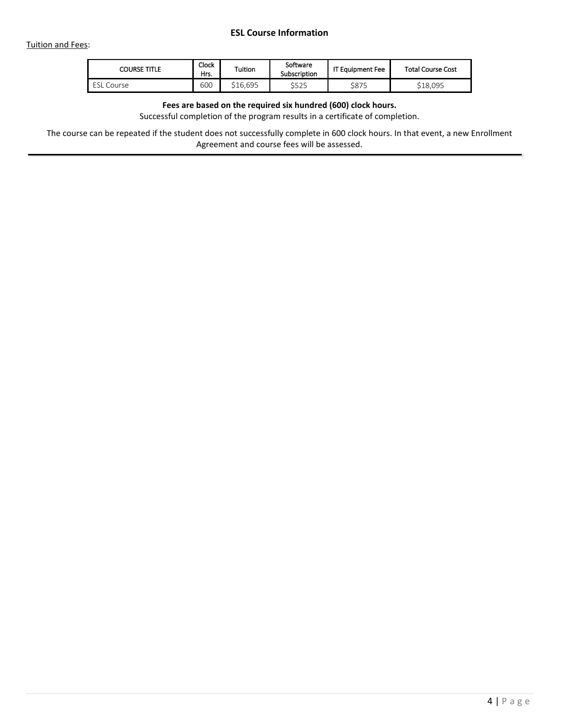| <b>COURSE TITLE</b> | Clock<br>Hrs. | Tuition  | Software<br>Subscription | <b>IT Equipment Fee</b> | <b>Total Course Cost</b> |
|---------------------|---------------|----------|--------------------------|-------------------------|--------------------------|
| . Course<br>ESL     | 600           | \$16.695 | $A$ ror<br>5525          | \$875                   | \$18.095                 |

#### **Fees are based on the required six hundred (600) clock hours.**

Successful completion of the program results in a certificate of completion.

The course can be repeated if the student does not successfully complete in 600 clock hours. In that event, a new Enrollment Agreement and course fees will be assessed.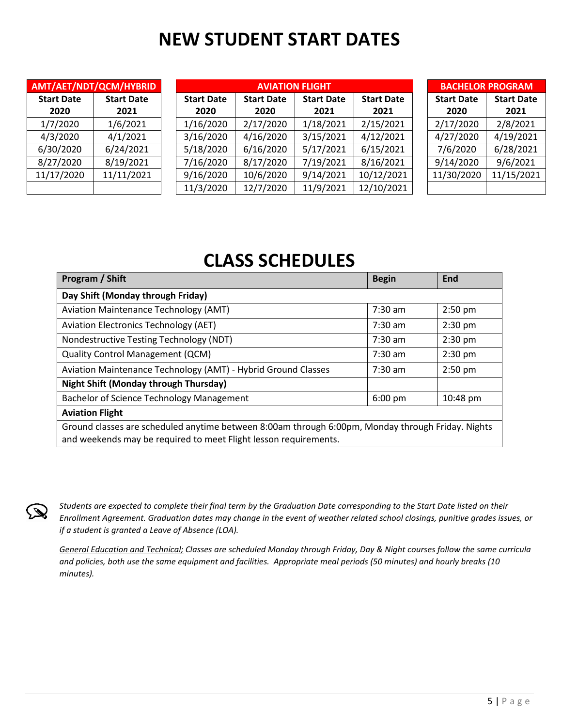# **NEW STUDENT START DATES**

|                           | AMT/AET/NDT/QCM/HYBRID    |                           | <b>AVIATION FLIGHT</b>    | <b>BACHELOR PROGRAM</b>   |                           |                           |                           |
|---------------------------|---------------------------|---------------------------|---------------------------|---------------------------|---------------------------|---------------------------|---------------------------|
| <b>Start Date</b><br>2020 | <b>Start Date</b><br>2021 | <b>Start Date</b><br>2020 | <b>Start Date</b><br>2020 | <b>Start Date</b><br>2021 | <b>Start Date</b><br>2021 | <b>Start Date</b><br>2020 | <b>Start Date</b><br>2021 |
| 1/7/2020                  | 1/6/2021                  | 1/16/2020                 | 2/17/2020                 | 1/18/2021                 | 2/15/2021                 | 2/17/2020                 | 2/8/2021                  |
| 4/3/2020                  | 4/1/2021                  | 3/16/2020                 | 4/16/2020                 | 3/15/2021                 | 4/12/2021                 | 4/27/2020                 | 4/19/2021                 |
| 6/30/2020                 | 6/24/2021                 | 5/18/2020                 | 6/16/2020                 | 5/17/2021                 | 6/15/2021                 | 7/6/2020                  | 6/28/2021                 |
| 8/27/2020                 | 8/19/2021                 | 7/16/2020                 | 8/17/2020                 | 7/19/2021                 | 8/16/2021                 | 9/14/2020                 | 9/6/2021                  |
| 11/17/2020                | 11/11/2021                | 9/16/2020                 | 10/6/2020                 | 9/14/2021                 | 10/12/2021                | 11/30/2020                | 11/15/2021                |
|                           |                           | 11/3/2020                 | 12/7/2020                 | 11/9/2021                 | 12/10/2021                |                           |                           |

## **CLASS SCHEDULES**

| Program / Shift                                                                                                                                                       | <b>Begin</b>      | <b>End</b> |  |  |  |  |  |  |  |
|-----------------------------------------------------------------------------------------------------------------------------------------------------------------------|-------------------|------------|--|--|--|--|--|--|--|
| Day Shift (Monday through Friday)                                                                                                                                     |                   |            |  |  |  |  |  |  |  |
| <b>Aviation Maintenance Technology (AMT)</b>                                                                                                                          | $7:30$ am         | $2:50$ pm  |  |  |  |  |  |  |  |
| <b>Aviation Electronics Technology (AET)</b>                                                                                                                          | $7:30$ am         | $2:30$ pm  |  |  |  |  |  |  |  |
| Nondestructive Testing Technology (NDT)                                                                                                                               | $7:30$ am         | $2:30$ pm  |  |  |  |  |  |  |  |
| <b>Quality Control Management (QCM)</b>                                                                                                                               | $7:30$ am         | $2:30$ pm  |  |  |  |  |  |  |  |
| Aviation Maintenance Technology (AMT) - Hybrid Ground Classes                                                                                                         | $7:30$ am         | $2:50$ pm  |  |  |  |  |  |  |  |
| <b>Night Shift (Monday through Thursday)</b>                                                                                                                          |                   |            |  |  |  |  |  |  |  |
| Bachelor of Science Technology Management                                                                                                                             | $6:00 \text{ pm}$ | 10:48 pm   |  |  |  |  |  |  |  |
| <b>Aviation Flight</b>                                                                                                                                                |                   |            |  |  |  |  |  |  |  |
| Ground classes are scheduled anytime between 8:00am through 6:00pm, Monday through Friday. Nights<br>and weekends may be required to meet Flight lesson requirements. |                   |            |  |  |  |  |  |  |  |



*Students are expected to complete their final term by the Graduation Date corresponding to the Start Date listed on their Enrollment Agreement. Graduation dates may change in the event of weather related school closings, punitive grades issues, or if a student is granted a Leave of Absence (LOA).* 

*General Education and Technical; Classes are scheduled Monday through Friday, Day & Night courses follow the same curricula and policies, both use the same equipment and facilities. Appropriate meal periods (50 minutes) and hourly breaks (10 minutes).*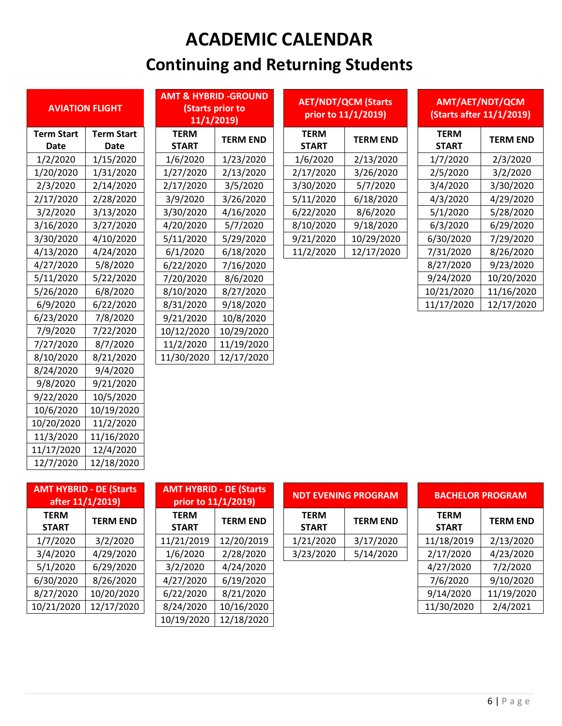# **ACADEMIC CALENDAR Continuing and Returning Students**

| <b>AVIATION FLIGHT</b> |                   |  |  |  |  |  |  |  |
|------------------------|-------------------|--|--|--|--|--|--|--|
| <b>Term Start</b>      | <b>Term Start</b> |  |  |  |  |  |  |  |
| Date                   | Date              |  |  |  |  |  |  |  |
| 1/2/2020               | 1/15/2020         |  |  |  |  |  |  |  |
| 1/20/2020              | 1/31/2020         |  |  |  |  |  |  |  |
| 2/3/2020               | 2/14/2020         |  |  |  |  |  |  |  |
| 2/17/2020              | 2/28/2020         |  |  |  |  |  |  |  |
| 3/2/2020               | 3/13/2020         |  |  |  |  |  |  |  |
| 3/16/2020              | 3/27/2020         |  |  |  |  |  |  |  |
| 3/30/2020              | 4/10/2020         |  |  |  |  |  |  |  |
| 4/13/2020              | 4/24/2020         |  |  |  |  |  |  |  |
| 4/27/2020              | 5/8/2020          |  |  |  |  |  |  |  |
| 5/11/2020              | 5/22/2020         |  |  |  |  |  |  |  |
| 5/26/2020              | 6/8/2020          |  |  |  |  |  |  |  |
| 6/9/2020               | 6/22/2020         |  |  |  |  |  |  |  |
| 6/23/2020              | 7/8/2020          |  |  |  |  |  |  |  |
| 7/9/2020               | 7/22/2020         |  |  |  |  |  |  |  |
| 7/27/2020              | 8/7/2020          |  |  |  |  |  |  |  |
| 8/10/2020              | 8/21/2020         |  |  |  |  |  |  |  |
| 8/24/2020              | 9/4/2020          |  |  |  |  |  |  |  |
| 9/8/2020               | 9/21/2020         |  |  |  |  |  |  |  |
| 9/22/2020              | 10/5/2020         |  |  |  |  |  |  |  |
| 10/6/2020              | 10/19/2020        |  |  |  |  |  |  |  |
| 10/20/2020             | 11/2/2020         |  |  |  |  |  |  |  |
| 11/3/2020              | 11/16/2020        |  |  |  |  |  |  |  |
| 11/17/2020             | 12/4/2020         |  |  |  |  |  |  |  |
| 12/7/2020              | 12/18/2020        |  |  |  |  |  |  |  |

| <b>AVIATION FLIGHT</b>    |  | <b>AMT &amp; HYBRID -GROUND</b><br>(Starts prior to<br>11/1/2019 |                 |  |                             |                 |                                                   | AMT/AET/NDT/QCM<br>(Starts after 11/1/2019) |                 |  |
|---------------------------|--|------------------------------------------------------------------|-----------------|--|-----------------------------|-----------------|---------------------------------------------------|---------------------------------------------|-----------------|--|
| <b>Term Start</b><br>Date |  | <b>TERM</b><br><b>START</b>                                      | <b>TERM END</b> |  | <b>TERM</b><br><b>START</b> | <b>TERM END</b> |                                                   | <b>TERM</b><br><b>START</b>                 | <b>TERM END</b> |  |
| 1/15/2020                 |  | 1/6/2020                                                         | 1/23/2020       |  | 1/6/2020                    | 2/13/2020       |                                                   | 1/7/2020                                    | 2/3/2020        |  |
| 1/31/2020                 |  | 1/27/2020                                                        | 2/13/2020       |  | 2/17/2020                   | 3/26/2020       |                                                   | 2/5/2020                                    | 3/2/2020        |  |
| 2/14/2020                 |  | 2/17/2020                                                        | 3/5/2020        |  | 3/30/2020                   | 5/7/2020        |                                                   | 3/4/2020                                    | 3/30/2020       |  |
| 2/28/2020                 |  | 3/9/2020                                                         | 3/26/2020       |  | 5/11/2020                   | 6/18/2020       |                                                   | 4/3/2020                                    | 4/29/2020       |  |
| 3/13/2020                 |  | 3/30/2020                                                        | 4/16/2020       |  | 6/22/2020                   | 8/6/2020        |                                                   | 5/1/2020                                    | 5/28/2020       |  |
| 3/27/2020                 |  | 4/20/2020                                                        | 5/7/2020        |  | 8/10/2020                   | 9/18/2020       |                                                   | 6/3/2020                                    | 6/29/2020       |  |
| 4/10/2020                 |  | 5/11/2020                                                        | 5/29/2020       |  | 9/21/2020                   | 10/29/2020      |                                                   | 6/30/2020                                   | 7/29/2020       |  |
| 4/24/2020                 |  | 6/1/2020                                                         | 6/18/2020       |  | 11/2/2020                   | 12/17/2020      |                                                   | 7/31/2020                                   | 8/26/2020       |  |
| 5/8/2020                  |  | 6/22/2020                                                        | 7/16/2020       |  |                             |                 |                                                   | 8/27/2020                                   | 9/23/2020       |  |
| 5/22/2020                 |  | 7/20/2020                                                        | 8/6/2020        |  |                             |                 |                                                   | 9/24/2020                                   | 10/20/2020      |  |
| 6/8/2020                  |  | 8/10/2020                                                        | 8/27/2020       |  |                             |                 |                                                   | 10/21/2020                                  | 11/16/2020      |  |
| 6/22/2020                 |  | 8/31/2020                                                        | 9/18/2020       |  |                             |                 |                                                   | 11/17/2020                                  | 12/17/2020      |  |
| 7/8/2020                  |  | 9/21/2020                                                        | 10/8/2020       |  |                             |                 |                                                   |                                             |                 |  |
| 7/22/2020                 |  | 10/12/2020                                                       | 10/29/2020      |  |                             |                 |                                                   |                                             |                 |  |
| 8/7/2020                  |  | 11/2/2020                                                        | 11/19/2020      |  |                             |                 |                                                   |                                             |                 |  |
| 8/21/2020                 |  | 11/30/2020                                                       | 12/17/2020      |  |                             |                 |                                                   |                                             |                 |  |
|                           |  |                                                                  |                 |  |                             |                 | <b>AET/NDT/QCM (Starts</b><br>prior to 11/1/2019) |                                             |                 |  |

| <b>AVIATION FLIGHT</b> |                           |                             | <b>Starts prior to</b><br>11/1/2019 |  |                             | <b>AET/NDT/QCM (Starts</b><br>prior to 11/1/2019) | AMT/AET/NDT/QCM<br>(Starts after 11/1/2019) |                 |  |
|------------------------|---------------------------|-----------------------------|-------------------------------------|--|-----------------------------|---------------------------------------------------|---------------------------------------------|-----------------|--|
| Term Start<br>Date     | <b>Term Start</b><br>Date | <b>TERM</b><br><b>START</b> | <b>TERM END</b>                     |  | <b>TERM</b><br><b>START</b> | <b>TERM END</b>                                   | <b>TERM</b><br><b>START</b>                 | <b>TERM END</b> |  |
| 1/2/2020               | 1/15/2020                 | 1/6/2020                    | 1/23/2020                           |  | 1/6/2020                    | 2/13/2020                                         | 1/7/2020                                    | 2/3/2020        |  |
| 1/20/2020              | 1/31/2020                 | 1/27/2020                   | 2/13/2020                           |  | 2/17/2020                   | 3/26/2020                                         | 2/5/2020                                    | 3/2/2020        |  |
| 2/3/2020               | 2/14/2020                 | 2/17/2020                   | 3/5/2020                            |  | 3/30/2020                   | 5/7/2020                                          | 3/4/2020                                    | 3/30/2020       |  |
| 2/17/2020              | 2/28/2020                 | 3/9/2020                    | 3/26/2020                           |  | 5/11/2020                   | 6/18/2020                                         | 4/3/2020                                    | 4/29/2020       |  |
| 3/2/2020               | 3/13/2020                 | 3/30/2020                   | 4/16/2020                           |  | 6/22/2020                   | 8/6/2020                                          | 5/1/2020                                    | 5/28/2020       |  |
| 3/16/2020              | 3/27/2020                 | 4/20/2020                   | 5/7/2020                            |  | 8/10/2020                   | 9/18/2020                                         | 6/3/2020                                    | 6/29/2020       |  |
| 3/30/2020              | 4/10/2020                 | 5/11/2020                   | 5/29/2020                           |  | 9/21/2020                   | 10/29/2020                                        | 6/30/2020                                   | 7/29/2020       |  |
| 4/13/2020              | 4/24/2020                 | 6/1/2020                    | 6/18/2020                           |  | 11/2/2020                   | 12/17/2020                                        | 7/31/2020                                   | 8/26/2020       |  |
| 127/2020               | F/0/2020                  | c Inn Innan                 | 7/10/200                            |  |                             |                                                   | 0/27/2020                                   | n Inn Innan     |  |

| AMT/AET/NDT/QCM          |
|--------------------------|
| (Starts after 11/1/2019) |

| <b>TERM</b><br>START | <b>TERM END</b> |
|----------------------|-----------------|
| 1/7/2020             | 2/3/2020        |
| 2/5/2020             | 3/2/2020        |
| 3/4/2020             | 3/30/2020       |
| 4/3/2020             | 4/29/2020       |
| 5/1/2020             | 5/28/2020       |
| 6/3/2020             | 6/29/2020       |
| 6/30/2020            | 7/29/2020       |
| 7/31/2020            | 8/26/2020       |
| 8/27/2020            | 9/23/2020       |
| 9/24/2020            | 10/20/2020      |
| 10/21/2020           | 11/16/2020      |
| 11/17/2020           | 12/17/2020      |

| <b>AMT HYBRID - DE (Starts</b><br>after 11/1/2019) | <b>AMT HYE</b><br>prior t |                             |
|----------------------------------------------------|---------------------------|-----------------------------|
| <b>TERM</b><br><b>START</b>                        | <b>TERM END</b>           | <b>TERM</b><br><b>START</b> |
| 1/7/2020                                           | 3/2/2020                  | 11/21/20                    |
| 3/4/2020                                           | 4/29/2020                 | 1/6/202                     |
| 5/1/2020                                           | 6/29/2020                 | 3/2/202                     |
| 6/30/2020                                          | 8/26/2020                 | 4/27/202                    |
| 8/27/2020                                          | 10/20/2020                | 6/22/202                    |
| 10/21/2020                                         | 12/17/2020                | 8/24/202                    |
|                                                    |                           |                             |

|                             | <b>AMT HYBRID - DE (Starts)</b><br>after 11/1/2019) | <b>AMT HYBRID - DE (Starts)</b> | prior to 11/1/2019) |  |                             | <b>NDT EVENING PROGRAM</b> | <b>BACHELOR PROGRAM</b>     |                 |
|-----------------------------|-----------------------------------------------------|---------------------------------|---------------------|--|-----------------------------|----------------------------|-----------------------------|-----------------|
| <b>TERM</b><br><b>START</b> | <b>TERM END</b>                                     | <b>TERM</b><br><b>START</b>     | <b>TERM END</b>     |  | <b>TERM</b><br><b>START</b> | <b>TERM END</b>            | <b>TERM</b><br><b>START</b> | <b>TERM END</b> |
| 1/7/2020                    | 3/2/2020                                            | 11/21/2019                      | 12/20/2019          |  | 1/21/2020                   | 3/17/2020                  | 11/18/2019                  | 2/13/2020       |
| 3/4/2020                    | 4/29/2020                                           | 1/6/2020                        | 2/28/2020           |  | 3/23/2020                   | 5/14/2020                  | 2/17/2020                   | 4/23/2020       |
| 5/1/2020                    | 6/29/2020                                           | 3/2/2020                        | 4/24/2020           |  |                             |                            | 4/27/2020                   | 7/2/2020        |
| 6/30/2020                   | 8/26/2020                                           | 4/27/2020                       | 6/19/2020           |  |                             |                            | 7/6/2020                    | 9/10/2020       |
| 8/27/2020                   | 10/20/2020                                          | 6/22/2020                       | 8/21/2020           |  |                             |                            | 9/14/2020                   | 11/19/202       |
| 10/21/2020                  | 12/17/2020                                          | 8/24/2020                       | 10/16/2020          |  |                             |                            | 11/30/2020                  | 2/4/2021        |
|                             |                                                     | 10/19/2020                      | 12/18/2020          |  |                             |                            |                             |                 |

|                             | <b>MT HYBRID - DE (Starts)</b><br>after 11/1/2019) | prior to 11/1/2019)         | <b>AMT HYBRID - DE (Starts</b> |                             | <b>NDT EVENING PROGRAM</b> | <b>BACHELOR PROGRAM</b> |                             |                 |
|-----------------------------|----------------------------------------------------|-----------------------------|--------------------------------|-----------------------------|----------------------------|-------------------------|-----------------------------|-----------------|
| <b>TERM</b><br><b>START</b> | <b>TERM END</b>                                    | <b>TERM</b><br><b>START</b> | <b>TERM END</b>                | <b>TERM</b><br><b>START</b> | <b>TERM END</b>            |                         | <b>TERM</b><br><b>START</b> | <b>TERM END</b> |
| 1/7/2020                    | 3/2/2020                                           | 11/21/2019                  | 12/20/2019                     | 1/21/2020                   | 3/17/2020                  |                         | 11/18/2019                  | 2/13/2020       |
| 3/4/2020                    | 4/29/2020                                          | 1/6/2020                    | 2/28/2020                      | 3/23/2020                   | 5/14/2020                  |                         | 2/17/2020                   | 4/23/2020       |
| 5/1/2020                    | 6/29/2020                                          | 3/2/2020                    | 4/24/2020                      |                             |                            |                         | 4/27/2020                   | 7/2/2020        |

| AMT HYBRID - DE (Starts  <br>after 11/1/2019) |                 | <b>AMT HYBRID - DE (Starts)</b><br>prior to 11/1/2019) |                 | <b>NDT EVENING PROGRAM</b>  |                 |  | <b>BACHELOR PROGRAM</b>     |                 |
|-----------------------------------------------|-----------------|--------------------------------------------------------|-----------------|-----------------------------|-----------------|--|-----------------------------|-----------------|
| <b>TERM</b><br><b>START</b>                   | <b>TERM END</b> | <b>TERM</b><br><b>START</b>                            | <b>TERM END</b> | <b>TERM</b><br><b>START</b> | <b>TERM END</b> |  | <b>TERM</b><br><b>START</b> | <b>TERM END</b> |
| 1/7/2020                                      | 3/2/2020        | 11/21/2019                                             | 12/20/2019      | 1/21/2020                   | 3/17/2020       |  | 11/18/2019                  | 2/13/2020       |
| 3/4/2020                                      | 4/29/2020       | 1/6/2020                                               | 2/28/2020       | 3/23/2020                   | 5/14/2020       |  | 2/17/2020                   | 4/23/2020       |
| 5/1/2020                                      | 6/29/2020       | 3/2/2020                                               | 4/24/2020       |                             |                 |  | 4/27/2020                   | 7/2/2020        |
| 6/30/2020                                     | 8/26/2020       | 4/27/2020                                              | 6/19/2020       |                             |                 |  | 7/6/2020                    | 9/10/2020       |
| 8/27/2020                                     | 10/20/2020      | 6/22/2020                                              | 8/21/2020       |                             |                 |  | 9/14/2020                   | 11/19/2020      |
| 10/21/2020                                    | 12/17/2020      | 8/24/2020                                              | 10/16/2020      |                             |                 |  | 11/30/2020                  | 2/4/2021        |
|                                               |                 |                                                        |                 |                             |                 |  |                             |                 |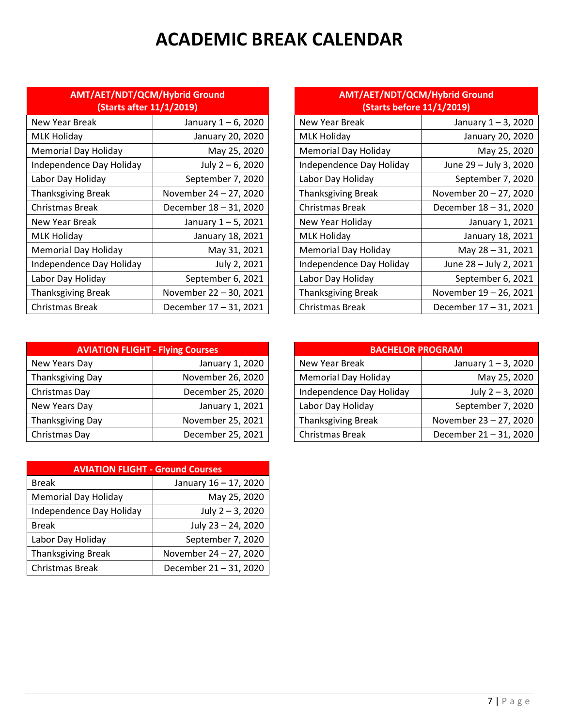# **ACADEMIC BREAK CALENDAR**

| AMT/AET/NDT/QCM/Hybrid Ground<br>(Starts after 11/1/2019) |                        |                             | AMT/AET/NDT/QCM/Hybrid Ground<br><b>(Starts before 11/1/2019)</b> |                        |  |
|-----------------------------------------------------------|------------------------|-----------------------------|-------------------------------------------------------------------|------------------------|--|
| New Year Break                                            | January 1 – 6, 2020    | New Year Break              |                                                                   | January 1-3, 2020      |  |
| MLK Holiday                                               | January 20, 2020       | <b>MLK Holiday</b>          |                                                                   | January 20, 2020       |  |
| <b>Memorial Day Holiday</b>                               | May 25, 2020           | <b>Memorial Day Holiday</b> |                                                                   | May 25, 2020           |  |
| Independence Day Holiday                                  | July $2 - 6$ , 2020    |                             | Independence Day Holiday                                          | June 29 - July 3, 2020 |  |
| Labor Day Holiday                                         | September 7, 2020      | Labor Day Holiday           |                                                                   | September 7, 2020      |  |
| Thanksgiving Break                                        | November 24 - 27, 2020 | <b>Thanksgiving Break</b>   |                                                                   | November 20 - 27, 2020 |  |
| Christmas Break                                           | December 18 - 31, 2020 | Christmas Break             |                                                                   | December 18 - 31, 2020 |  |
| New Year Break                                            | January 1 – 5, 2021    | New Year Holiday            |                                                                   | January 1, 2021        |  |
| MLK Holiday                                               | January 18, 2021       | <b>MLK Holiday</b>          |                                                                   | January 18, 2021       |  |
| <b>Memorial Day Holiday</b>                               | May 31, 2021           | <b>Memorial Day Holiday</b> |                                                                   | May 28 - 31, 2021      |  |
| Independence Day Holiday                                  | July 2, 2021           |                             | Independence Day Holiday                                          | June 28 - July 2, 2021 |  |
| Labor Day Holiday                                         | September 6, 2021      | Labor Day Holiday           |                                                                   | September 6, 2021      |  |
| <b>Thanksgiving Break</b>                                 | November 22 - 30, 2021 | <b>Thanksgiving Break</b>   |                                                                   | November 19 - 26, 2021 |  |
| Christmas Break                                           | December 17 - 31, 2021 | Christmas Break             |                                                                   | December 17 - 31, 2021 |  |

| <b>AVIATION FLIGHT - Flying Courses</b> |                   | <b>BACHELOR PROGRAM</b>     |       |
|-----------------------------------------|-------------------|-----------------------------|-------|
| New Years Day                           | January 1, 2020   | New Year Break              | Ja    |
| Thanksgiving Day                        | November 26, 2020 | <b>Memorial Day Holiday</b> |       |
| Christmas Day                           | December 25, 2020 | Independence Day Holiday    |       |
| New Years Day                           | January 1, 2021   | Labor Day Holiday           | S6    |
| Thanksgiving Day                        | November 25, 2021 | <b>Thanksgiving Break</b>   | Novem |
| Christmas Day                           | December 25, 2021 | Christmas Break             | Decem |

| <b>AVIATION FLIGHT - Ground Courses</b> |                        |  |  |  |  |  |
|-----------------------------------------|------------------------|--|--|--|--|--|
| <b>Break</b>                            | January 16 - 17, 2020  |  |  |  |  |  |
| <b>Memorial Day Holiday</b>             | May 25, 2020           |  |  |  |  |  |
| Independence Day Holiday                | July 2 - 3, 2020       |  |  |  |  |  |
| <b>Break</b>                            | July 23 - 24, 2020     |  |  |  |  |  |
| Labor Day Holiday                       | September 7, 2020      |  |  |  |  |  |
| <b>Thanksgiving Break</b>               | November 24 - 27, 2020 |  |  |  |  |  |
| <b>Christmas Break</b>                  | December 21 - 31, 2020 |  |  |  |  |  |

| AMT/AET/NDT/QCM/Hybrid Ground<br>(Starts before 11/1/2019) |                     |  |  |  |
|------------------------------------------------------------|---------------------|--|--|--|
| 'ear Break                                                 | January $1 - 3$ , 2 |  |  |  |

| New Year Break            | January 1 – 6, 2020    | New Year Break              | January 1 – 3, 2020    |
|---------------------------|------------------------|-----------------------------|------------------------|
| MLK Holiday               | January 20, 2020       | <b>MLK Holiday</b>          | January 20, 2020       |
| Memorial Day Holiday      | May 25, 2020           | <b>Memorial Day Holiday</b> | May 25, 2020           |
| Independence Day Holiday  | July 2 - 6, 2020       | Independence Day Holiday    | June 29 - July 3, 2020 |
| Labor Day Holiday         | September 7, 2020      | Labor Day Holiday           | September 7, 2020      |
| Thanksgiving Break        | November 24 - 27, 2020 | <b>Thanksgiving Break</b>   | November 20 - 27, 2020 |
| Christmas Break           | December 18 - 31, 2020 | <b>Christmas Break</b>      | December 18 - 31, 2020 |
| New Year Break            | January 1 - 5, 2021    | New Year Holiday            | January 1, 2021        |
| MLK Holiday               | January 18, 2021       | <b>MLK Holiday</b>          | January 18, 2021       |
| Memorial Day Holiday      | May 31, 2021           | <b>Memorial Day Holiday</b> | May 28 - 31, 2021      |
| Independence Day Holiday  | July 2, 2021           | Independence Day Holiday    | June 28 - July 2, 2021 |
| Labor Day Holiday         | September 6, 2021      | Labor Day Holiday           | September 6, 2021      |
| <b>Thanksgiving Break</b> | November 22 - 30, 2021 | <b>Thanksgiving Break</b>   | November 19 - 26, 2021 |
| Christmas Break           | December 17 - 31, 2021 | Christmas Break             | December 17 - 31, 2021 |
|                           |                        |                             |                        |

| <b>AVIATION FLIGHT - Flying Courses</b> |                   |  | <b>BACHELOR PROGRAM</b>     |                        |
|-----------------------------------------|-------------------|--|-----------------------------|------------------------|
| New Years Day                           | January 1, 2020   |  | New Year Break              | January 1-3, 2020      |
| Thanksgiving Day                        | November 26, 2020 |  | <b>Memorial Day Holiday</b> | May 25, 2020           |
| Christmas Day                           | December 25, 2020 |  | Independence Day Holiday    | July $2 - 3$ , 2020    |
| New Years Day                           | January 1, 2021   |  | Labor Day Holiday           | September 7, 2020      |
| Thanksgiving Day                        | November 25, 2021 |  | Thanksgiving Break          | November 23 - 27, 2020 |
| Christmas Day                           | December 25, 2021 |  | Christmas Break             | December 21-31, 2020   |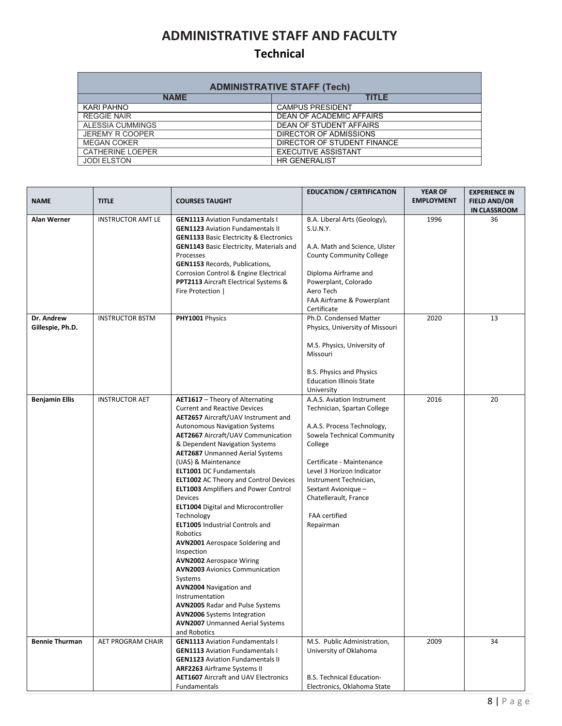## **ADMINISTRATIVE STAFF AND FACULTY**

#### **Technical**

| <b>ADMINISTRATIVE STAFF (Tech)</b> |                                 |  |  |  |  |  |
|------------------------------------|---------------------------------|--|--|--|--|--|
| <b>NAME</b>                        | <b>TITLE</b>                    |  |  |  |  |  |
| KARI PAHNO                         | <b>CAMPUS PRESIDENT</b>         |  |  |  |  |  |
| <b>REGGIE NAIR</b>                 | <b>DEAN OF ACADEMIC AFFAIRS</b> |  |  |  |  |  |
| ALESSIA CUMMINGS                   | DEAN OF STUDENT AFFAIRS         |  |  |  |  |  |
| <b>JEREMY R COOPER</b>             | DIRECTOR OF ADMISSIONS          |  |  |  |  |  |
| <b>MEGAN COKER</b>                 | DIRECTOR OF STUDENT FINANCE     |  |  |  |  |  |
| <b>CATHERINE LOEPER</b>            | <b>EXECUTIVE ASSISTANT</b>      |  |  |  |  |  |
| <b>JODI ELSTON</b>                 | <b>HR GENERALIST</b>            |  |  |  |  |  |

| <b>NAME</b>                    | <b>TITLE</b>             | <b>COURSES TAUGHT</b>                                                                                                                                                                                                                                                                                                                                                                                                                                                                                                                                                                                                                                                                                                                                                                                                                                                                                                   | <b>EDUCATION / CERTIFICATION</b>                                                                                                                                                                                                                                                                          | <b>YEAR OF</b><br><b>EMPLOYMENT</b> | <b>EXPERIENCE IN</b><br><b>FIELD AND/OR</b><br><b>IN CLASSROOM</b> |
|--------------------------------|--------------------------|-------------------------------------------------------------------------------------------------------------------------------------------------------------------------------------------------------------------------------------------------------------------------------------------------------------------------------------------------------------------------------------------------------------------------------------------------------------------------------------------------------------------------------------------------------------------------------------------------------------------------------------------------------------------------------------------------------------------------------------------------------------------------------------------------------------------------------------------------------------------------------------------------------------------------|-----------------------------------------------------------------------------------------------------------------------------------------------------------------------------------------------------------------------------------------------------------------------------------------------------------|-------------------------------------|--------------------------------------------------------------------|
| Alan Werner                    | <b>INSTRUCTOR AMT LE</b> | <b>GEN1113</b> Aviation Fundamentals I<br><b>GEN1123</b> Aviation Fundamentals II<br><b>GEN1133 Basic Electricity &amp; Electronics</b><br><b>GEN1143</b> Basic Electricity, Materials and<br>Processes<br><b>GEN1153</b> Records, Publications,<br>Corrosion Control & Engine Electrical<br><b>PPT2113</b> Aircraft Electrical Systems &<br>Fire Protection                                                                                                                                                                                                                                                                                                                                                                                                                                                                                                                                                            | B.A. Liberal Arts (Geology),<br>S.U.N.Y.<br>A.A. Math and Science, Ulster<br><b>County Community College</b><br>Diploma Airframe and<br>Powerplant, Colorado<br>Aero Tech<br>FAA Airframe & Powerplant<br>Certificate                                                                                     | 1996                                | 36                                                                 |
| Dr. Andrew<br>Gillespie, Ph.D. | <b>INSTRUCTOR BSTM</b>   | PHY1001 Physics                                                                                                                                                                                                                                                                                                                                                                                                                                                                                                                                                                                                                                                                                                                                                                                                                                                                                                         | Ph.D. Condensed Matter<br>Physics, University of Missouri<br>M.S. Physics, University of<br>Missouri<br>B.S. Physics and Physics<br><b>Education Illinois State</b><br>University                                                                                                                         | 2020                                | 13                                                                 |
| <b>Benjamin Ellis</b>          | <b>INSTRUCTOR AET</b>    | AET1617 - Theory of Alternating<br><b>Current and Reactive Devices</b><br><b>AET2657</b> Aircraft/UAV Instrument and<br><b>Autonomous Navigation Systems</b><br><b>AET2667</b> Aircraft/UAV Communication<br>& Dependent Navigation Systems<br><b>AET2687</b> Unmanned Aerial Systems<br>(UAS) & Maintenance<br><b>ELT1001 DC Fundamentals</b><br><b>ELT1002</b> AC Theory and Control Devices<br><b>ELT1003</b> Amplifiers and Power Control<br>Devices<br><b>ELT1004</b> Digital and Microcontroller<br>Technology<br><b>ELT1005</b> Industrial Controls and<br>Robotics<br><b>AVN2001</b> Aerospace Soldering and<br>Inspection<br><b>AVN2002</b> Aerospace Wiring<br><b>AVN2003</b> Avionics Communication<br>Systems<br><b>AVN2004</b> Navigation and<br>Instrumentation<br><b>AVN2005 Radar and Pulse Systems</b><br><b>AVN2006</b> Systems Integration<br><b>AVN2007</b> Unmanned Aerial Systems<br>and Robotics | A.A.S. Aviation Instrument<br>Technician, Spartan College<br>A.A.S. Process Technology,<br>Sowela Technical Community<br>College<br>Certificate - Maintenance<br>Level 3 Horizon Indicator<br>Instrument Technician,<br>Sextant Avionique -<br>Chatellerault, France<br><b>FAA</b> certified<br>Repairman | 2016                                | 20                                                                 |
| <b>Bennie Thurman</b>          | AET PROGRAM CHAIR        | <b>GEN1113</b> Aviation Fundamentals I<br><b>GEN1113</b> Aviation Fundamentals I<br><b>GEN1123</b> Aviation Fundamentals II<br>ARF2263 Airframe Systems II<br><b>AET1607</b> Aircraft and UAV Electronics<br>Fundamentals                                                                                                                                                                                                                                                                                                                                                                                                                                                                                                                                                                                                                                                                                               | M.S. Public Administration,<br>University of Oklahoma<br><b>B.S. Technical Education-</b><br>Electronics, Oklahoma State                                                                                                                                                                                  | 2009                                | 34                                                                 |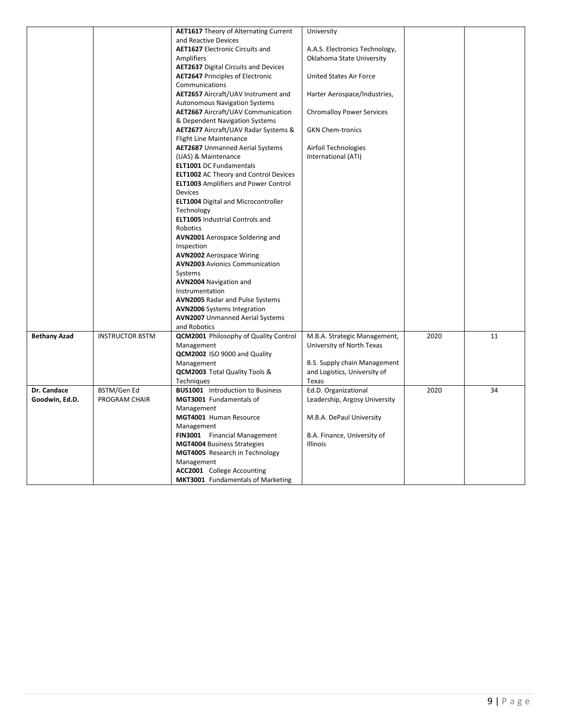|                     |                        | <b>AET1617</b> Theory of Alternating Current | University                          |      |    |
|---------------------|------------------------|----------------------------------------------|-------------------------------------|------|----|
|                     |                        | and Reactive Devices                         |                                     |      |    |
|                     |                        | <b>AET1627</b> Electronic Circuits and       | A.A.S. Electronics Technology,      |      |    |
|                     |                        | Amplifiers                                   | Oklahoma State University           |      |    |
|                     |                        | <b>AET2637</b> Digital Circuits and Devices  |                                     |      |    |
|                     |                        | <b>AET2647 Principles of Electronic</b>      | United States Air Force             |      |    |
|                     |                        | Communications                               |                                     |      |    |
|                     |                        | AET2657 Aircraft/UAV Instrument and          | Harter Aerospace/Industries,        |      |    |
|                     |                        | <b>Autonomous Navigation Systems</b>         |                                     |      |    |
|                     |                        | <b>AET2667</b> Aircraft/UAV Communication    | <b>Chromalloy Power Services</b>    |      |    |
|                     |                        | & Dependent Navigation Systems               |                                     |      |    |
|                     |                        | AET2677 Aircraft/UAV Radar Systems &         | <b>GKN Chem-tronics</b>             |      |    |
|                     |                        | <b>Flight Line Maintenance</b>               |                                     |      |    |
|                     |                        | <b>AET2687</b> Unmanned Aerial Systems       | Airfoil Technologies                |      |    |
|                     |                        | (UAS) & Maintenance                          | International (ATI)                 |      |    |
|                     |                        | ELT1001 DC Fundamentals                      |                                     |      |    |
|                     |                        | <b>ELT1002</b> AC Theory and Control Devices |                                     |      |    |
|                     |                        | <b>ELT1003</b> Amplifiers and Power Control  |                                     |      |    |
|                     |                        | <b>Devices</b>                               |                                     |      |    |
|                     |                        | <b>ELT1004</b> Digital and Microcontroller   |                                     |      |    |
|                     |                        | Technology                                   |                                     |      |    |
|                     |                        | <b>ELT1005</b> Industrial Controls and       |                                     |      |    |
|                     |                        | Robotics                                     |                                     |      |    |
|                     |                        | <b>AVN2001</b> Aerospace Soldering and       |                                     |      |    |
|                     |                        | Inspection                                   |                                     |      |    |
|                     |                        | <b>AVN2002</b> Aerospace Wiring              |                                     |      |    |
|                     |                        | <b>AVN2003</b> Avionics Communication        |                                     |      |    |
|                     |                        | Systems                                      |                                     |      |    |
|                     |                        | <b>AVN2004</b> Navigation and                |                                     |      |    |
|                     |                        | Instrumentation                              |                                     |      |    |
|                     |                        | <b>AVN2005 Radar and Pulse Systems</b>       |                                     |      |    |
|                     |                        | <b>AVN2006</b> Systems Integration           |                                     |      |    |
|                     |                        | <b>AVN2007</b> Unmanned Aerial Systems       |                                     |      |    |
|                     |                        | and Robotics                                 |                                     |      |    |
| <b>Bethany Azad</b> | <b>INSTRUCTOR BSTM</b> | <b>QCM2001</b> Philosophy of Quality Control | M.B.A. Strategic Management,        | 2020 | 11 |
|                     |                        | Management                                   | University of North Texas           |      |    |
|                     |                        | QCM2002 ISO 9000 and Quality                 |                                     |      |    |
|                     |                        | Management                                   | <b>B.S. Supply chain Management</b> |      |    |
|                     |                        | <b>QCM2003</b> Total Quality Tools &         | and Logistics, University of        |      |    |
|                     |                        | Techniques                                   | Texas                               |      |    |
| Dr. Candace         | BSTM/Gen Ed            | <b>BUS1001</b> Introduction to Business      | Ed.D. Organizational                | 2020 | 34 |
| Goodwin, Ed.D.      | <b>PROGRAM CHAIR</b>   | MGT3001 Fundamentals of                      | Leadership, Argosy University       |      |    |
|                     |                        | Management                                   |                                     |      |    |
|                     |                        | MGT4001 Human Resource                       | M.B.A. DePaul University            |      |    |
|                     |                        | Management                                   |                                     |      |    |
|                     |                        | FIN3001 Financial Management                 | B.A. Finance, University of         |      |    |
|                     |                        | <b>MGT4004 Business Strategies</b>           | <b>Illinois</b>                     |      |    |
|                     |                        | MGT4005 Research in Technology               |                                     |      |    |
|                     |                        | Management                                   |                                     |      |    |
|                     |                        | ACC2001 College Accounting                   |                                     |      |    |
|                     |                        | <b>MKT3001</b> Fundamentals of Marketing     |                                     |      |    |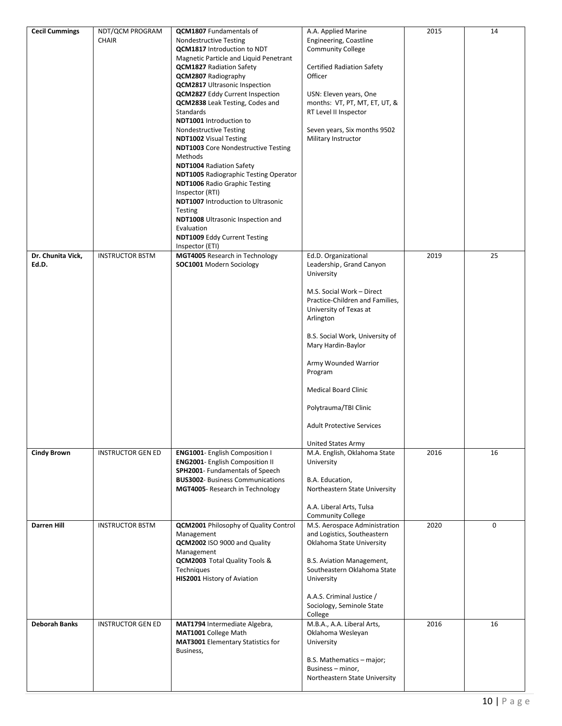| <b>Cecil Cummings</b>      | NDT/QCM PROGRAM<br><b>CHAIR</b> | <b>QCM1807</b> Fundamentals of<br><b>Nondestructive Testing</b><br><b>QCM1817</b> Introduction to NDT<br>Magnetic Particle and Liquid Penetrant<br><b>QCM1827</b> Radiation Safety<br><b>QCM2807</b> Radiography<br><b>QCM2817</b> Ultrasonic Inspection<br><b>QCM2827</b> Eddy Current Inspection<br><b>QCM2838</b> Leak Testing, Codes and<br>Standards<br><b>NDT1001</b> Introduction to<br>Nondestructive Testing<br><b>NDT1002</b> Visual Testing<br><b>NDT1003</b> Core Nondestructive Testing<br>Methods<br><b>NDT1004 Radiation Safety</b><br><b>NDT1005</b> Radiographic Testing Operator<br><b>NDT1006</b> Radio Graphic Testing<br>Inspector (RTI)<br><b>NDT1007</b> Introduction to Ultrasonic<br>Testing<br>NDT1008 Ultrasonic Inspection and<br>Evaluation<br><b>NDT1009 Eddy Current Testing</b><br>Inspector (ETI) | A.A. Applied Marine<br>Engineering, Coastline<br><b>Community College</b><br><b>Certified Radiation Safety</b><br>Officer<br>USN: Eleven years, One<br>months: VT, PT, MT, ET, UT, &<br>RT Level II Inspector<br>Seven years, Six months 9502<br>Military Instructor                                                                                                                       | 2015 | 14 |
|----------------------------|---------------------------------|------------------------------------------------------------------------------------------------------------------------------------------------------------------------------------------------------------------------------------------------------------------------------------------------------------------------------------------------------------------------------------------------------------------------------------------------------------------------------------------------------------------------------------------------------------------------------------------------------------------------------------------------------------------------------------------------------------------------------------------------------------------------------------------------------------------------------------|--------------------------------------------------------------------------------------------------------------------------------------------------------------------------------------------------------------------------------------------------------------------------------------------------------------------------------------------------------------------------------------------|------|----|
| Dr. Chunita Vick,<br>Ed.D. | <b>INSTRUCTOR BSTM</b>          | MGT4005 Research in Technology<br>SOC1001 Modern Sociology                                                                                                                                                                                                                                                                                                                                                                                                                                                                                                                                                                                                                                                                                                                                                                         | Ed.D. Organizational<br>Leadership, Grand Canyon<br>University<br>M.S. Social Work - Direct<br>Practice-Children and Families,<br>University of Texas at<br>Arlington<br>B.S. Social Work, University of<br>Mary Hardin-Baylor<br>Army Wounded Warrior<br>Program<br><b>Medical Board Clinic</b><br>Polytrauma/TBI Clinic<br><b>Adult Protective Services</b><br><b>United States Army</b> | 2019 | 25 |
| <b>Cindy Brown</b>         | <b>INSTRUCTOR GEN ED</b>        | ENG1001- English Composition I<br><b>ENG2001- English Composition II</b><br>SPH2001- Fundamentals of Speech<br><b>BUS3002- Business Communications</b><br>MGT4005- Research in Technology                                                                                                                                                                                                                                                                                                                                                                                                                                                                                                                                                                                                                                          | M.A. English, Oklahoma State<br>University<br>B.A. Education,<br>Northeastern State University<br>A.A. Liberal Arts, Tulsa<br><b>Community College</b>                                                                                                                                                                                                                                     | 2016 | 16 |
| <b>Darren Hill</b>         | <b>INSTRUCTOR BSTM</b>          | QCM2001 Philosophy of Quality Control<br>Management<br>QCM2002 ISO 9000 and Quality<br>Management<br>QCM2003 Total Quality Tools &<br>Techniques<br>HIS2001 History of Aviation                                                                                                                                                                                                                                                                                                                                                                                                                                                                                                                                                                                                                                                    | M.S. Aerospace Administration<br>and Logistics, Southeastern<br>Oklahoma State University<br>B.S. Aviation Management,<br>Southeastern Oklahoma State<br>University<br>A.A.S. Criminal Justice /<br>Sociology, Seminole State<br>College                                                                                                                                                   | 2020 | 0  |
| <b>Deborah Banks</b>       | <b>INSTRUCTOR GEN ED</b>        | MAT1794 Intermediate Algebra,<br>MAT1001 College Math<br><b>MAT3001</b> Elementary Statistics for<br>Business,                                                                                                                                                                                                                                                                                                                                                                                                                                                                                                                                                                                                                                                                                                                     | M.B.A., A.A. Liberal Arts,<br>Oklahoma Wesleyan<br>University<br>B.S. Mathematics - major;<br>Business - minor,<br>Northeastern State University                                                                                                                                                                                                                                           | 2016 | 16 |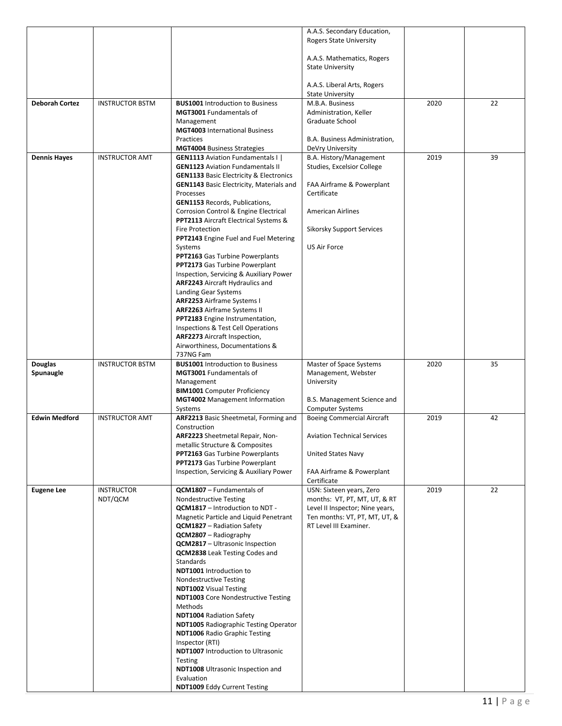|                       |                        |                                                                             | A.A.S. Secondary Education,                             |      |    |
|-----------------------|------------------------|-----------------------------------------------------------------------------|---------------------------------------------------------|------|----|
|                       |                        |                                                                             | <b>Rogers State University</b>                          |      |    |
|                       |                        |                                                                             |                                                         |      |    |
|                       |                        |                                                                             | A.A.S. Mathematics, Rogers                              |      |    |
|                       |                        |                                                                             | <b>State University</b>                                 |      |    |
|                       |                        |                                                                             |                                                         |      |    |
|                       |                        |                                                                             | A.A.S. Liberal Arts, Rogers                             |      |    |
|                       |                        |                                                                             | <b>State University</b>                                 |      |    |
| <b>Deborah Cortez</b> | <b>INSTRUCTOR BSTM</b> | <b>BUS1001</b> Introduction to Business<br><b>MGT3001</b> Fundamentals of   | M.B.A. Business                                         | 2020 | 22 |
|                       |                        | Management                                                                  | Administration, Keller<br>Graduate School               |      |    |
|                       |                        | <b>MGT4003</b> International Business                                       |                                                         |      |    |
|                       |                        | Practices                                                                   | B.A. Business Administration,                           |      |    |
|                       |                        | <b>MGT4004 Business Strategies</b>                                          | DeVry University                                        |      |    |
| <b>Dennis Hayes</b>   | <b>INSTRUCTOR AMT</b>  | <b>GEN1113</b> Aviation Fundamentals I                                      | B.A. History/Management                                 | 2019 | 39 |
|                       |                        | <b>GEN1123</b> Aviation Fundamentals II                                     | Studies, Excelsior College                              |      |    |
|                       |                        | <b>GEN1133 Basic Electricity &amp; Electronics</b>                          |                                                         |      |    |
|                       |                        | <b>GEN1143</b> Basic Electricity, Materials and                             | FAA Airframe & Powerplant                               |      |    |
|                       |                        | Processes                                                                   | Certificate                                             |      |    |
|                       |                        | <b>GEN1153 Records, Publications,</b>                                       |                                                         |      |    |
|                       |                        | Corrosion Control & Engine Electrical                                       | <b>American Airlines</b>                                |      |    |
|                       |                        | PPT2113 Aircraft Electrical Systems &<br><b>Fire Protection</b>             | <b>Sikorsky Support Services</b>                        |      |    |
|                       |                        | <b>PPT2143</b> Engine Fuel and Fuel Metering                                |                                                         |      |    |
|                       |                        | Systems                                                                     | <b>US Air Force</b>                                     |      |    |
|                       |                        | <b>PPT2163</b> Gas Turbine Powerplants                                      |                                                         |      |    |
|                       |                        | <b>PPT2173</b> Gas Turbine Powerplant                                       |                                                         |      |    |
|                       |                        | Inspection, Servicing & Auxiliary Power                                     |                                                         |      |    |
|                       |                        | <b>ARF2243</b> Aircraft Hydraulics and                                      |                                                         |      |    |
|                       |                        | Landing Gear Systems                                                        |                                                         |      |    |
|                       |                        | <b>ARF2253</b> Airframe Systems I                                           |                                                         |      |    |
|                       |                        | <b>ARF2263</b> Airframe Systems II                                          |                                                         |      |    |
|                       |                        | PPT2183 Engine Instrumentation,<br>Inspections & Test Cell Operations       |                                                         |      |    |
|                       |                        | <b>ARF2273</b> Aircraft Inspection,                                         |                                                         |      |    |
|                       |                        | Airworthiness, Documentations &                                             |                                                         |      |    |
|                       |                        | 737NG Fam                                                                   |                                                         |      |    |
|                       |                        |                                                                             |                                                         |      |    |
| Douglas               | <b>INSTRUCTOR BSTM</b> | <b>BUS1001</b> Introduction to Business                                     | Master of Space Systems                                 | 2020 | 35 |
| Spunaugle             |                        | <b>MGT3001</b> Fundamentals of                                              | Management, Webster                                     |      |    |
|                       |                        | Management                                                                  | University                                              |      |    |
|                       |                        | <b>BIM1001</b> Computer Proficiency                                         |                                                         |      |    |
|                       |                        | <b>MGT4002</b> Management Information                                       | B.S. Management Science and                             |      |    |
|                       |                        | Systems                                                                     | <b>Computer Systems</b>                                 |      |    |
| <b>Edwin Medford</b>  | <b>INSTRUCTOR AMT</b>  | ARF2213 Basic Sheetmetal, Forming and                                       | <b>Boeing Commercial Aircraft</b>                       | 2019 | 42 |
|                       |                        | Construction                                                                |                                                         |      |    |
|                       |                        | ARF2223 Sheetmetal Repair, Non-<br>metallic Structure & Composites          | <b>Aviation Technical Services</b>                      |      |    |
|                       |                        | PPT2163 Gas Turbine Powerplants                                             | United States Navy                                      |      |    |
|                       |                        | <b>PPT2173</b> Gas Turbine Powerplant                                       |                                                         |      |    |
|                       |                        | Inspection, Servicing & Auxiliary Power                                     | FAA Airframe & Powerplant                               |      |    |
|                       |                        |                                                                             | Certificate                                             |      |    |
| <b>Eugene Lee</b>     | <b>INSTRUCTOR</b>      | QCM1807 - Fundamentals of                                                   | USN: Sixteen years, Zero                                | 2019 | 22 |
|                       | NDT/QCM                | <b>Nondestructive Testing</b>                                               | months: VT, PT, MT, UT, & RT                            |      |    |
|                       |                        | QCM1817 - Introduction to NDT -                                             | Level II Inspector; Nine years,                         |      |    |
|                       |                        | Magnetic Particle and Liquid Penetrant<br><b>QCM1827</b> – Radiation Safety | Ten months: VT, PT, MT, UT, &<br>RT Level III Examiner. |      |    |
|                       |                        | <b>QCM2807</b> - Radiography                                                |                                                         |      |    |
|                       |                        | <b>QCM2817</b> - Ultrasonic Inspection                                      |                                                         |      |    |
|                       |                        | <b>QCM2838</b> Leak Testing Codes and                                       |                                                         |      |    |
|                       |                        | Standards                                                                   |                                                         |      |    |
|                       |                        | <b>NDT1001</b> Introduction to                                              |                                                         |      |    |
|                       |                        | Nondestructive Testing                                                      |                                                         |      |    |
|                       |                        | <b>NDT1002</b> Visual Testing                                               |                                                         |      |    |
|                       |                        | <b>NDT1003</b> Core Nondestructive Testing                                  |                                                         |      |    |
|                       |                        | Methods<br><b>NDT1004 Radiation Safety</b>                                  |                                                         |      |    |
|                       |                        | <b>NDT1005</b> Radiographic Testing Operator                                |                                                         |      |    |
|                       |                        | <b>NDT1006</b> Radio Graphic Testing                                        |                                                         |      |    |
|                       |                        | Inspector (RTI)                                                             |                                                         |      |    |
|                       |                        | <b>NDT1007</b> Introduction to Ultrasonic                                   |                                                         |      |    |
|                       |                        | Testing                                                                     |                                                         |      |    |
|                       |                        | <b>NDT1008</b> Ultrasonic Inspection and<br>Evaluation                      |                                                         |      |    |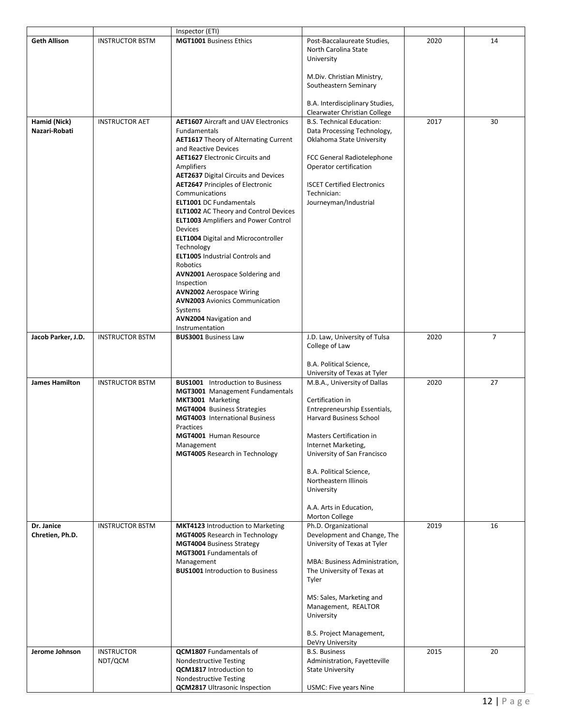|                               |                              | Inspector (ETI)                                                                                                                                                                                                                                                                                                                                                                                                                                                                                                                                                                                                                                                                                                      |                                                                                                                                                                                                                                                                                                                     |      |    |
|-------------------------------|------------------------------|----------------------------------------------------------------------------------------------------------------------------------------------------------------------------------------------------------------------------------------------------------------------------------------------------------------------------------------------------------------------------------------------------------------------------------------------------------------------------------------------------------------------------------------------------------------------------------------------------------------------------------------------------------------------------------------------------------------------|---------------------------------------------------------------------------------------------------------------------------------------------------------------------------------------------------------------------------------------------------------------------------------------------------------------------|------|----|
| <b>Geth Allison</b>           | <b>INSTRUCTOR BSTM</b>       | <b>MGT1001 Business Ethics</b>                                                                                                                                                                                                                                                                                                                                                                                                                                                                                                                                                                                                                                                                                       | Post-Baccalaureate Studies,<br>North Carolina State<br>University                                                                                                                                                                                                                                                   | 2020 | 14 |
|                               |                              |                                                                                                                                                                                                                                                                                                                                                                                                                                                                                                                                                                                                                                                                                                                      | M.Div. Christian Ministry,<br>Southeastern Seminary                                                                                                                                                                                                                                                                 |      |    |
|                               |                              |                                                                                                                                                                                                                                                                                                                                                                                                                                                                                                                                                                                                                                                                                                                      | B.A. Interdisciplinary Studies,<br>Clearwater Christian College                                                                                                                                                                                                                                                     |      |    |
| Hamid (Nick)<br>Nazari-Robati | <b>INSTRUCTOR AET</b>        | <b>AET1607</b> Aircraft and UAV Electronics<br>Fundamentals<br><b>AET1617</b> Theory of Alternating Current<br>and Reactive Devices<br><b>AET1627</b> Electronic Circuits and<br>Amplifiers<br><b>AET2637</b> Digital Circuits and Devices<br><b>AET2647 Principles of Electronic</b><br>Communications<br><b>ELT1001 DC Fundamentals</b><br><b>ELT1002</b> AC Theory and Control Devices<br><b>ELT1003</b> Amplifiers and Power Control<br>Devices<br><b>ELT1004</b> Digital and Microcontroller<br>Technology<br><b>ELT1005</b> Industrial Controls and<br>Robotics<br><b>AVN2001</b> Aerospace Soldering and<br>Inspection<br><b>AVN2002</b> Aerospace Wiring<br><b>AVN2003</b> Avionics Communication<br>Systems | <b>B.S. Technical Education:</b><br>Data Processing Technology,<br>Oklahoma State University<br>FCC General Radiotelephone<br>Operator certification<br><b>ISCET Certified Electronics</b><br>Technician:<br>Journeyman/Industrial                                                                                  | 2017 | 30 |
|                               |                              | AVN2004 Navigation and                                                                                                                                                                                                                                                                                                                                                                                                                                                                                                                                                                                                                                                                                               |                                                                                                                                                                                                                                                                                                                     |      |    |
| Jacob Parker, J.D.            | <b>INSTRUCTOR BSTM</b>       | Instrumentation<br><b>BUS3001 Business Law</b>                                                                                                                                                                                                                                                                                                                                                                                                                                                                                                                                                                                                                                                                       | J.D. Law, University of Tulsa<br>College of Law                                                                                                                                                                                                                                                                     | 2020 | 7  |
|                               |                              |                                                                                                                                                                                                                                                                                                                                                                                                                                                                                                                                                                                                                                                                                                                      | B.A. Political Science,<br>University of Texas at Tyler                                                                                                                                                                                                                                                             |      |    |
| <b>James Hamilton</b>         | <b>INSTRUCTOR BSTM</b>       | <b>BUS1001</b> Introduction to Business<br><b>MGT3001</b> Management Fundamentals<br>MKT3001 Marketing<br>MGT4004 Business Strategies<br><b>MGT4003</b> International Business<br>Practices<br>MGT4001 Human Resource<br>Management<br>MGT4005 Research in Technology                                                                                                                                                                                                                                                                                                                                                                                                                                                | M.B.A., University of Dallas<br>Certification in<br>Entrepreneurship Essentials,<br><b>Harvard Business School</b><br>Masters Certification in<br>Internet Marketing,<br>University of San Francisco<br>B.A. Political Science,<br>Northeastern Illinois<br>University<br>A.A. Arts in Education,<br>Morton College | 2020 | 27 |
| Dr. Janice<br>Chretien, Ph.D. | <b>INSTRUCTOR BSTM</b>       | MKT4123 Introduction to Marketing<br><b>MGT4005</b> Research in Technology<br><b>MGT4004 Business Strategy</b><br>MGT3001 Fundamentals of<br>Management<br><b>BUS1001</b> Introduction to Business                                                                                                                                                                                                                                                                                                                                                                                                                                                                                                                   | Ph.D. Organizational<br>Development and Change, The<br>University of Texas at Tyler<br>MBA: Business Administration,<br>The University of Texas at<br>Tyler<br>MS: Sales, Marketing and<br>Management, REALTOR<br>University<br>B.S. Project Management,<br>DeVry University                                        | 2019 | 16 |
| Jerome Johnson                | <b>INSTRUCTOR</b><br>NDT/QCM | QCM1807 Fundamentals of<br><b>Nondestructive Testing</b><br><b>QCM1817</b> Introduction to<br><b>Nondestructive Testing</b><br><b>QCM2817</b> Ultrasonic Inspection                                                                                                                                                                                                                                                                                                                                                                                                                                                                                                                                                  | <b>B.S. Business</b><br>Administration, Fayetteville<br><b>State University</b><br>USMC: Five years Nine                                                                                                                                                                                                            | 2015 | 20 |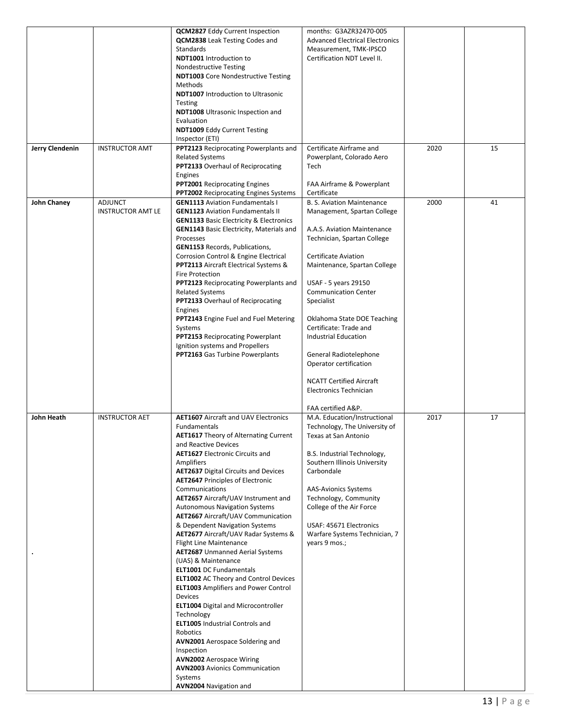| Jerry Clendenin | <b>INSTRUCTOR AMT</b>                      | <b>QCM2827</b> Eddy Current Inspection<br>QCM2838 Leak Testing Codes and<br>Standards<br>NDT1001 Introduction to<br><b>Nondestructive Testing</b><br><b>NDT1003</b> Core Nondestructive Testing<br>Methods<br><b>NDT1007</b> Introduction to Ultrasonic<br>Testing<br><b>NDT1008</b> Ultrasonic Inspection and<br>Evaluation<br><b>NDT1009 Eddy Current Testing</b><br>Inspector (ETI)<br>PPT2123 Reciprocating Powerplants and<br><b>Related Systems</b><br><b>PPT2133</b> Overhaul of Reciprocating<br>Engines<br><b>PPT2001</b> Reciprocating Engines                                                                                                                                                                                                                                                                                                                                                                                                                                                                                                       | months: G3AZR32470-005<br><b>Advanced Electrical Electronics</b><br>Measurement, TMK-IPSCO<br>Certification NDT Level II.<br>Certificate Airframe and<br>Powerplant, Colorado Aero<br>Tech<br>FAA Airframe & Powerplant                                                                                                                                                                                                                                                                                          | 2020 | 15 |
|-----------------|--------------------------------------------|----------------------------------------------------------------------------------------------------------------------------------------------------------------------------------------------------------------------------------------------------------------------------------------------------------------------------------------------------------------------------------------------------------------------------------------------------------------------------------------------------------------------------------------------------------------------------------------------------------------------------------------------------------------------------------------------------------------------------------------------------------------------------------------------------------------------------------------------------------------------------------------------------------------------------------------------------------------------------------------------------------------------------------------------------------------|------------------------------------------------------------------------------------------------------------------------------------------------------------------------------------------------------------------------------------------------------------------------------------------------------------------------------------------------------------------------------------------------------------------------------------------------------------------------------------------------------------------|------|----|
| John Chaney     | <b>ADJUNCT</b><br><b>INSTRUCTOR AMT LE</b> | <b>PPT2002</b> Reciprocating Engines Systems<br><b>GEN1113</b> Aviation Fundamentals I<br><b>GEN1123</b> Aviation Fundamentals II<br><b>GEN1133 Basic Electricity &amp; Electronics</b><br><b>GEN1143</b> Basic Electricity, Materials and<br>Processes<br><b>GEN1153 Records, Publications,</b><br>Corrosion Control & Engine Electrical<br><b>PPT2113</b> Aircraft Electrical Systems &<br><b>Fire Protection</b><br>PPT2123 Reciprocating Powerplants and<br><b>Related Systems</b><br><b>PPT2133</b> Overhaul of Reciprocating<br>Engines<br>PPT2143 Engine Fuel and Fuel Metering<br>Systems<br>PPT2153 Reciprocating Powerplant<br>Ignition systems and Propellers<br>PPT2163 Gas Turbine Powerplants                                                                                                                                                                                                                                                                                                                                                    | Certificate<br><b>B. S. Aviation Maintenance</b><br>Management, Spartan College<br>A.A.S. Aviation Maintenance<br>Technician, Spartan College<br><b>Certificate Aviation</b><br>Maintenance, Spartan College<br>USAF - 5 years 29150<br><b>Communication Center</b><br>Specialist<br>Oklahoma State DOE Teaching<br>Certificate: Trade and<br>Industrial Education<br>General Radiotelephone<br>Operator certification<br><b>NCATT Certified Aircraft</b><br><b>Electronics Technician</b><br>FAA certified A&P. | 2000 | 41 |
| John Heath      | <b>INSTRUCTOR AET</b>                      | <b>AET1607</b> Aircraft and UAV Electronics<br>Fundamentals<br><b>AET1617</b> Theory of Alternating Current<br>and Reactive Devices<br><b>AET1627</b> Electronic Circuits and<br>Amplifiers<br><b>AET2637</b> Digital Circuits and Devices<br><b>AET2647 Principles of Electronic</b><br>Communications<br>AET2657 Aircraft/UAV Instrument and<br><b>Autonomous Navigation Systems</b><br><b>AET2667</b> Aircraft/UAV Communication<br>& Dependent Navigation Systems<br>AET2677 Aircraft/UAV Radar Systems &<br><b>Flight Line Maintenance</b><br><b>AET2687</b> Unmanned Aerial Systems<br>(UAS) & Maintenance<br><b>ELT1001</b> DC Fundamentals<br><b>ELT1002</b> AC Theory and Control Devices<br><b>ELT1003</b> Amplifiers and Power Control<br>Devices<br><b>ELT1004</b> Digital and Microcontroller<br>Technology<br><b>ELT1005</b> Industrial Controls and<br>Robotics<br><b>AVN2001</b> Aerospace Soldering and<br>Inspection<br><b>AVN2002</b> Aerospace Wiring<br><b>AVN2003</b> Avionics Communication<br>Systems<br><b>AVN2004</b> Navigation and | M.A. Education/Instructional<br>Technology, The University of<br>Texas at San Antonio<br>B.S. Industrial Technology,<br>Southern Illinois University<br>Carbondale<br><b>AAS-Avionics Systems</b><br>Technology, Community<br>College of the Air Force<br>USAF: 45671 Electronics<br>Warfare Systems Technician, 7<br>years 9 mos.;                                                                                                                                                                              | 2017 | 17 |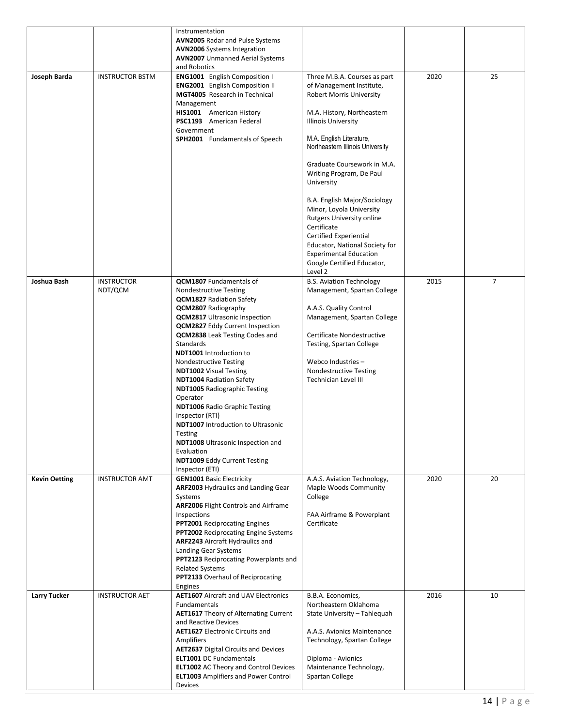|                      |                              | Instrumentation<br>AVN2005 Radar and Pulse Systems<br><b>AVN2006</b> Systems Integration<br><b>AVN2007</b> Unmanned Aerial Systems<br>and Robotics                                                                                                                                                                                                                                                                                                                                                                                                                                                                                                                                                        |                                                                                                                                                                                                                                                                                                                                                                                                                                                                                                                                                              |      |                |
|----------------------|------------------------------|-----------------------------------------------------------------------------------------------------------------------------------------------------------------------------------------------------------------------------------------------------------------------------------------------------------------------------------------------------------------------------------------------------------------------------------------------------------------------------------------------------------------------------------------------------------------------------------------------------------------------------------------------------------------------------------------------------------|--------------------------------------------------------------------------------------------------------------------------------------------------------------------------------------------------------------------------------------------------------------------------------------------------------------------------------------------------------------------------------------------------------------------------------------------------------------------------------------------------------------------------------------------------------------|------|----------------|
| Joseph Barda         | <b>INSTRUCTOR BSTM</b>       | ENG1001 English Composition I<br><b>ENG2001</b> English Composition II<br>MGT4005 Research in Technical<br>Management<br>HIS1001 American History<br>PSC1193 American Federal<br>Government<br><b>SPH2001</b> Fundamentals of Speech                                                                                                                                                                                                                                                                                                                                                                                                                                                                      | Three M.B.A. Courses as part<br>of Management Institute,<br><b>Robert Morris University</b><br>M.A. History, Northeastern<br><b>Illinois University</b><br>M.A. English Literature,<br>Northeastern Illinois University<br>Graduate Coursework in M.A.<br>Writing Program, De Paul<br>University<br>B.A. English Major/Sociology<br>Minor, Loyola University<br><b>Rutgers University online</b><br>Certificate<br><b>Certified Experiential</b><br>Educator, National Society for<br><b>Experimental Education</b><br>Google Certified Educator,<br>Level 2 | 2020 | 25             |
| Joshua Bash          | <b>INSTRUCTOR</b><br>NDT/QCM | QCM1807 Fundamentals of<br><b>Nondestructive Testing</b><br><b>QCM1827</b> Radiation Safety<br><b>QCM2807</b> Radiography<br><b>QCM2817</b> Ultrasonic Inspection<br><b>QCM2827</b> Eddy Current Inspection<br><b>QCM2838</b> Leak Testing Codes and<br><b>Standards</b><br><b>NDT1001</b> Introduction to<br><b>Nondestructive Testing</b><br><b>NDT1002</b> Visual Testing<br><b>NDT1004 Radiation Safety</b><br><b>NDT1005</b> Radiographic Testing<br>Operator<br><b>NDT1006 Radio Graphic Testing</b><br>Inspector (RTI)<br><b>NDT1007</b> Introduction to Ultrasonic<br>Testing<br><b>NDT1008</b> Ultrasonic Inspection and<br>Evaluation<br><b>NDT1009 Eddy Current Testing</b><br>Inspector (ETI) | <b>B.S. Aviation Technology</b><br>Management, Spartan College<br>A.A.S. Quality Control<br>Management, Spartan College<br>Certificate Nondestructive<br>Testing, Spartan College<br>Webco Industries-<br><b>Nondestructive Testing</b><br><b>Technician Level III</b>                                                                                                                                                                                                                                                                                       | 2015 | $\overline{7}$ |
| <b>Kevin Oetting</b> | <b>INSTRUCTOR AMT</b>        | <b>GEN1001 Basic Electricity</b><br>ARF2003 Hydraulics and Landing Gear<br>Systems<br><b>ARF2006 Flight Controls and Airframe</b><br>Inspections<br>PPT2001 Reciprocating Engines<br>PPT2002 Reciprocating Engine Systems<br>ARF2243 Aircraft Hydraulics and<br>Landing Gear Systems<br>PPT2123 Reciprocating Powerplants and<br><b>Related Systems</b><br>PPT2133 Overhaul of Reciprocating<br>Engines                                                                                                                                                                                                                                                                                                   | A.A.S. Aviation Technology,<br>Maple Woods Community<br>College<br>FAA Airframe & Powerplant<br>Certificate                                                                                                                                                                                                                                                                                                                                                                                                                                                  | 2020 | 20             |
| <b>Larry Tucker</b>  | <b>INSTRUCTOR AET</b>        | <b>AET1607</b> Aircraft and UAV Electronics<br>Fundamentals<br><b>AET1617</b> Theory of Alternating Current<br>and Reactive Devices<br><b>AET1627</b> Electronic Circuits and<br>Amplifiers<br><b>AET2637</b> Digital Circuits and Devices<br><b>ELT1001 DC Fundamentals</b><br><b>ELT1002</b> AC Theory and Control Devices<br><b>ELT1003</b> Amplifiers and Power Control<br>Devices                                                                                                                                                                                                                                                                                                                    | B.B.A. Economics,<br>Northeastern Oklahoma<br>State University - Tahlequah<br>A.A.S. Avionics Maintenance<br>Technology, Spartan College<br>Diploma - Avionics<br>Maintenance Technology,<br>Spartan College                                                                                                                                                                                                                                                                                                                                                 | 2016 | 10             |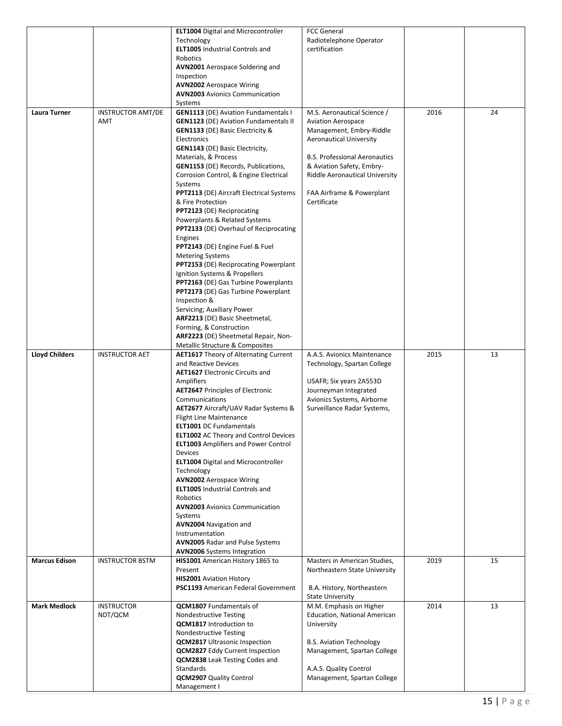|                       |                                 | <b>ELT1004</b> Digital and Microcontroller<br>Technology<br><b>ELT1005</b> Industrial Controls and<br><b>Robotics</b><br><b>AVN2001</b> Aerospace Soldering and<br>Inspection<br><b>AVN2002</b> Aerospace Wiring<br><b>AVN2003</b> Avionics Communication                                                                                                                                                                                                                                                                                                                                                                                                                                                                                                                                                                                                                                                                                                    | <b>FCC General</b><br>Radiotelephone Operator<br>certification                                                                                                                                                                                                                   |      |    |
|-----------------------|---------------------------------|--------------------------------------------------------------------------------------------------------------------------------------------------------------------------------------------------------------------------------------------------------------------------------------------------------------------------------------------------------------------------------------------------------------------------------------------------------------------------------------------------------------------------------------------------------------------------------------------------------------------------------------------------------------------------------------------------------------------------------------------------------------------------------------------------------------------------------------------------------------------------------------------------------------------------------------------------------------|----------------------------------------------------------------------------------------------------------------------------------------------------------------------------------------------------------------------------------------------------------------------------------|------|----|
| Laura Turner          | <b>INSTRUCTOR AMT/DE</b><br>AMT | Systems<br><b>GEN1113 (DE) Aviation Fundamentals I</b><br><b>GEN1123</b> (DE) Aviation Fundamentals II<br><b>GEN1133</b> (DE) Basic Electricity &<br>Electronics<br><b>GEN1143</b> (DE) Basic Electricity,<br>Materials, & Process<br><b>GEN1153</b> (DE) Records, Publications,<br>Corrosion Control, & Engine Electrical<br>Systems<br>PPT2113 (DE) Aircraft Electrical Systems<br>& Fire Protection<br><b>PPT2123 (DE) Reciprocating</b><br>Powerplants & Related Systems<br>PPT2133 (DE) Overhaul of Reciprocating<br>Engines<br>PPT2143 (DE) Engine Fuel & Fuel<br><b>Metering Systems</b><br><b>PPT2153</b> (DE) Reciprocating Powerplant<br>Ignition Systems & Propellers<br>PPT2163 (DE) Gas Turbine Powerplants<br><b>PPT2173</b> (DE) Gas Turbine Powerplant<br>Inspection &<br>Servicing; Auxiliary Power<br>ARF2213 (DE) Basic Sheetmetal,<br>Forming, & Construction<br>ARF2223 (DE) Sheetmetal Repair, Non-<br>Metallic Structure & Composites | M.S. Aeronautical Science /<br><b>Aviation Aerospace</b><br>Management, Embry-Riddle<br><b>Aeronautical University</b><br><b>B.S. Professional Aeronautics</b><br>& Aviation Safety, Embry-<br><b>Riddle Aeronautical University</b><br>FAA Airframe & Powerplant<br>Certificate | 2016 | 24 |
| <b>Lloyd Childers</b> | <b>INSTRUCTOR AET</b>           | <b>AET1617</b> Theory of Alternating Current<br>and Reactive Devices<br><b>AET1627</b> Electronic Circuits and<br>Amplifiers<br><b>AET2647 Principles of Electronic</b><br>Communications<br><b>AET2677</b> Aircraft/UAV Radar Systems &<br><b>Flight Line Maintenance</b><br><b>ELT1001 DC Fundamentals</b><br><b>ELT1002</b> AC Theory and Control Devices<br><b>ELT1003</b> Amplifiers and Power Control<br>Devices<br><b>ELT1004</b> Digital and Microcontroller<br>Technology<br><b>AVN2002</b> Aerospace Wiring<br><b>ELT1005</b> Industrial Controls and<br>Robotics<br><b>AVN2003</b> Avionics Communication<br>Systems<br><b>AVN2004</b> Navigation and<br>Instrumentation<br><b>AVN2005 Radar and Pulse Systems</b><br><b>AVN2006</b> Systems Integration                                                                                                                                                                                          | A.A.S. Avionics Maintenance<br>Technology, Spartan College<br>USAFR; Six years 2A553D<br>Journeyman Integrated<br>Avionics Systems, Airborne<br>Surveillance Radar Systems,                                                                                                      | 2015 | 13 |
| <b>Marcus Edison</b>  | <b>INSTRUCTOR BSTM</b>          | HIS1001 American History 1865 to<br>Present<br><b>HIS2001</b> Aviation History<br><b>PSC1193</b> American Federal Government                                                                                                                                                                                                                                                                                                                                                                                                                                                                                                                                                                                                                                                                                                                                                                                                                                 | Masters in American Studies,<br>Northeastern State University<br>B.A. History, Northeastern<br><b>State University</b>                                                                                                                                                           | 2019 | 15 |
| <b>Mark Medlock</b>   | <b>INSTRUCTOR</b><br>NDT/QCM    | <b>QCM1807</b> Fundamentals of<br><b>Nondestructive Testing</b><br><b>QCM1817</b> Introduction to<br><b>Nondestructive Testing</b><br><b>QCM2817</b> Ultrasonic Inspection<br><b>QCM2827</b> Eddy Current Inspection<br><b>QCM2838</b> Leak Testing Codes and<br>Standards<br><b>QCM2907</b> Quality Control<br>Management I                                                                                                                                                                                                                                                                                                                                                                                                                                                                                                                                                                                                                                 | M.M. Emphasis on Higher<br><b>Education, National American</b><br>University<br><b>B.S. Aviation Technology</b><br>Management, Spartan College<br>A.A.S. Quality Control<br>Management, Spartan College                                                                          | 2014 | 13 |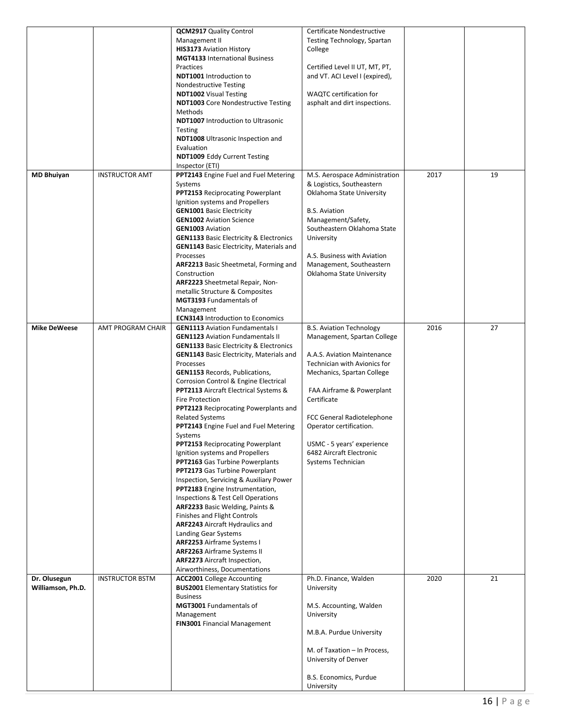|                                   |                          | <b>QCM2917</b> Quality Control<br>Management II<br><b>HIS3173</b> Aviation History<br><b>MGT4133</b> International Business<br>Practices<br>NDT1001 Introduction to<br><b>Nondestructive Testing</b><br><b>NDT1002</b> Visual Testing<br><b>NDT1003</b> Core Nondestructive Testing<br>Methods<br><b>NDT1007</b> Introduction to Ultrasonic<br>Testing<br><b>NDT1008</b> Ultrasonic Inspection and<br>Evaluation<br><b>NDT1009 Eddy Current Testing</b><br>Inspector (ETI)                                                                                                                                                                                                                                                                                                                                                                                                                                                                                                                                                                                | Certificate Nondestructive<br>Testing Technology, Spartan<br>College<br>Certified Level II UT, MT, PT,<br>and VT. ACI Level I (expired),<br><b>WAQTC</b> certification for<br>asphalt and dirt inspections.                                                                                                                                      |      |    |
|-----------------------------------|--------------------------|-----------------------------------------------------------------------------------------------------------------------------------------------------------------------------------------------------------------------------------------------------------------------------------------------------------------------------------------------------------------------------------------------------------------------------------------------------------------------------------------------------------------------------------------------------------------------------------------------------------------------------------------------------------------------------------------------------------------------------------------------------------------------------------------------------------------------------------------------------------------------------------------------------------------------------------------------------------------------------------------------------------------------------------------------------------|--------------------------------------------------------------------------------------------------------------------------------------------------------------------------------------------------------------------------------------------------------------------------------------------------------------------------------------------------|------|----|
| <b>MD Bhuiyan</b>                 | <b>INSTRUCTOR AMT</b>    | PPT2143 Engine Fuel and Fuel Metering<br>Systems<br>PPT2153 Reciprocating Powerplant<br>Ignition systems and Propellers<br><b>GEN1001 Basic Electricity</b><br><b>GEN1002</b> Aviation Science<br><b>GEN1003</b> Aviation<br><b>GEN1133 Basic Electricity &amp; Electronics</b><br><b>GEN1143</b> Basic Electricity, Materials and<br>Processes<br><b>ARF2213</b> Basic Sheetmetal, Forming and<br>Construction<br>ARF2223 Sheetmetal Repair, Non-<br>metallic Structure & Composites<br>MGT3193 Fundamentals of<br>Management<br><b>ECN3143</b> Introduction to Economics                                                                                                                                                                                                                                                                                                                                                                                                                                                                                | M.S. Aerospace Administration<br>& Logistics, Southeastern<br>Oklahoma State University<br><b>B.S. Aviation</b><br>Management/Safety,<br>Southeastern Oklahoma State<br>University<br>A.S. Business with Aviation<br>Management, Southeastern<br>Oklahoma State University                                                                       | 2017 | 19 |
| <b>Mike DeWeese</b>               | <b>AMT PROGRAM CHAIR</b> | <b>GEN1113</b> Aviation Fundamentals I<br><b>GEN1123</b> Aviation Fundamentals II<br><b>GEN1133 Basic Electricity &amp; Electronics</b><br><b>GEN1143</b> Basic Electricity, Materials and<br>Processes<br><b>GEN1153</b> Records, Publications,<br>Corrosion Control & Engine Electrical<br><b>PPT2113</b> Aircraft Electrical Systems &<br><b>Fire Protection</b><br>PPT2123 Reciprocating Powerplants and<br><b>Related Systems</b><br>PPT2143 Engine Fuel and Fuel Metering<br>Systems<br>PPT2153 Reciprocating Powerplant<br>Ignition systems and Propellers<br><b>PPT2163</b> Gas Turbine Powerplants<br>PPT2173 Gas Turbine Powerplant<br>Inspection, Servicing & Auxiliary Power<br>PPT2183 Engine Instrumentation,<br>Inspections & Test Cell Operations<br>ARF2233 Basic Welding, Paints &<br>Finishes and Flight Controls<br><b>ARF2243</b> Aircraft Hydraulics and<br>Landing Gear Systems<br><b>ARF2253</b> Airframe Systems I<br><b>ARF2263</b> Airframe Systems II<br><b>ARF2273</b> Aircraft Inspection,<br>Airworthiness, Documentations | <b>B.S. Aviation Technology</b><br>Management, Spartan College<br>A.A.S. Aviation Maintenance<br>Technician with Avionics for<br>Mechanics, Spartan College<br>FAA Airframe & Powerplant<br>Certificate<br>FCC General Radiotelephone<br>Operator certification.<br>USMC - 5 years' experience<br>6482 Aircraft Electronic<br>Systems Technician | 2016 | 27 |
| Dr. Olusegun<br>Williamson, Ph.D. | <b>INSTRUCTOR BSTM</b>   | <b>ACC2001</b> College Accounting<br><b>BUS2001</b> Elementary Statistics for<br><b>Business</b><br><b>MGT3001</b> Fundamentals of<br>Management<br><b>FIN3001 Financial Management</b>                                                                                                                                                                                                                                                                                                                                                                                                                                                                                                                                                                                                                                                                                                                                                                                                                                                                   | Ph.D. Finance, Walden<br>University<br>M.S. Accounting, Walden<br>University<br>M.B.A. Purdue University<br>M. of Taxation - In Process,<br>University of Denver<br>B.S. Economics, Purdue<br>University                                                                                                                                         | 2020 | 21 |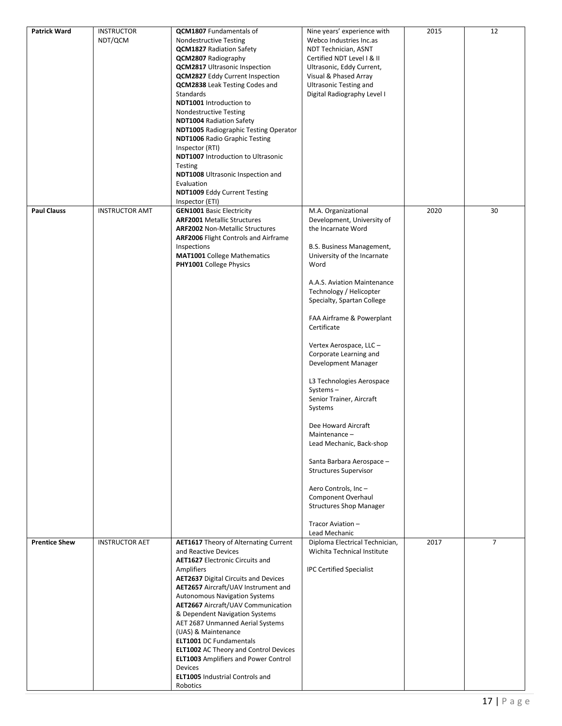| <b>Patrick Ward</b>  | <b>INSTRUCTOR</b><br>NDT/QCM | <b>QCM1807</b> Fundamentals of<br><b>Nondestructive Testing</b><br><b>QCM1827</b> Radiation Safety<br>QCM2807 Radiography<br><b>QCM2817</b> Ultrasonic Inspection<br><b>QCM2827</b> Eddy Current Inspection<br><b>QCM2838</b> Leak Testing Codes and<br>Standards<br>NDT1001 Introduction to<br><b>Nondestructive Testing</b><br><b>NDT1004 Radiation Safety</b><br><b>NDT1005 Radiographic Testing Operator</b><br><b>NDT1006 Radio Graphic Testing</b><br>Inspector (RTI)<br><b>NDT1007</b> Introduction to Ultrasonic<br>Testing<br><b>NDT1008</b> Ultrasonic Inspection and<br>Evaluation<br><b>NDT1009 Eddy Current Testing</b><br>Inspector (ETI) | Nine years' experience with<br>Webco Industries Inc.as<br>NDT Technician, ASNT<br>Certified NDT Level I & II<br>Ultrasonic, Eddy Current,<br>Visual & Phased Array<br><b>Ultrasonic Testing and</b><br>Digital Radiography Level I                                                                                                                                                                                                                                                                                                                                                                                                                                                               | 2015 | 12             |
|----------------------|------------------------------|---------------------------------------------------------------------------------------------------------------------------------------------------------------------------------------------------------------------------------------------------------------------------------------------------------------------------------------------------------------------------------------------------------------------------------------------------------------------------------------------------------------------------------------------------------------------------------------------------------------------------------------------------------|--------------------------------------------------------------------------------------------------------------------------------------------------------------------------------------------------------------------------------------------------------------------------------------------------------------------------------------------------------------------------------------------------------------------------------------------------------------------------------------------------------------------------------------------------------------------------------------------------------------------------------------------------------------------------------------------------|------|----------------|
| <b>Paul Clauss</b>   | <b>INSTRUCTOR AMT</b>        | <b>GEN1001 Basic Electricity</b><br><b>ARF2001</b> Metallic Structures<br><b>ARF2002 Non-Metallic Structures</b><br><b>ARF2006 Flight Controls and Airframe</b><br>Inspections<br><b>MAT1001</b> College Mathematics<br><b>PHY1001</b> College Physics                                                                                                                                                                                                                                                                                                                                                                                                  | M.A. Organizational<br>Development, University of<br>the Incarnate Word<br>B.S. Business Management,<br>University of the Incarnate<br>Word<br>A.A.S. Aviation Maintenance<br>Technology / Helicopter<br>Specialty, Spartan College<br>FAA Airframe & Powerplant<br>Certificate<br>Vertex Aerospace, LLC -<br>Corporate Learning and<br>Development Manager<br>L3 Technologies Aerospace<br>Systems-<br>Senior Trainer, Aircraft<br>Systems<br>Dee Howard Aircraft<br>Maintenance –<br>Lead Mechanic, Back-shop<br>Santa Barbara Aerospace -<br><b>Structures Supervisor</b><br>Aero Controls, Inc-<br>Component Overhaul<br><b>Structures Shop Manager</b><br>Tracor Aviation-<br>Lead Mechanic | 2020 | 30             |
| <b>Prentice Shew</b> | <b>INSTRUCTOR AET</b>        | <b>AET1617</b> Theory of Alternating Current<br>and Reactive Devices<br><b>AET1627</b> Electronic Circuits and<br>Amplifiers<br><b>AET2637</b> Digital Circuits and Devices<br>AET2657 Aircraft/UAV Instrument and<br><b>Autonomous Navigation Systems</b><br><b>AET2667</b> Aircraft/UAV Communication<br>& Dependent Navigation Systems<br>AET 2687 Unmanned Aerial Systems<br>(UAS) & Maintenance<br><b>ELT1001 DC Fundamentals</b><br><b>ELT1002</b> AC Theory and Control Devices<br><b>ELT1003</b> Amplifiers and Power Control<br>Devices<br><b>ELT1005</b> Industrial Controls and<br>Robotics                                                  | Diploma Electrical Technician,<br>Wichita Technical Institute<br><b>IPC Certified Specialist</b>                                                                                                                                                                                                                                                                                                                                                                                                                                                                                                                                                                                                 | 2017 | $\overline{7}$ |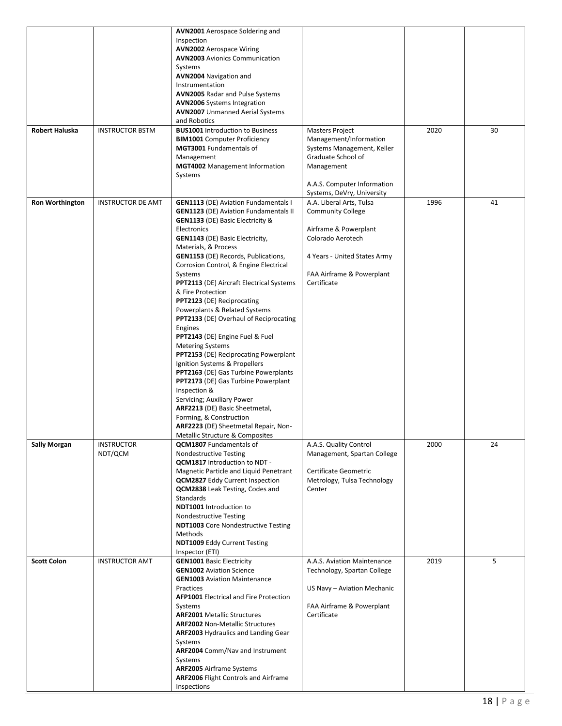| Robert Haluska         | <b>INSTRUCTOR BSTM</b>       | <b>AVN2001</b> Aerospace Soldering and<br>Inspection<br><b>AVN2002</b> Aerospace Wiring<br><b>AVN2003</b> Avionics Communication<br>Systems<br><b>AVN2004 Navigation and</b><br>Instrumentation<br><b>AVN2005 Radar and Pulse Systems</b><br><b>AVN2006</b> Systems Integration<br><b>AVN2007</b> Unmanned Aerial Systems<br>and Robotics<br><b>BUS1001</b> Introduction to Business<br><b>BIM1001</b> Computer Proficiency<br>MGT3001 Fundamentals of<br>Management<br><b>MGT4002</b> Management Information<br>Systems                                                                                                                                                                                                                                                                                                                                                                                                                                               | <b>Masters Project</b><br>Management/Information<br>Systems Management, Keller<br>Graduate School of<br>Management<br>A.A.S. Computer Information<br>Systems, DeVry, University | 2020 | 30 |
|------------------------|------------------------------|------------------------------------------------------------------------------------------------------------------------------------------------------------------------------------------------------------------------------------------------------------------------------------------------------------------------------------------------------------------------------------------------------------------------------------------------------------------------------------------------------------------------------------------------------------------------------------------------------------------------------------------------------------------------------------------------------------------------------------------------------------------------------------------------------------------------------------------------------------------------------------------------------------------------------------------------------------------------|---------------------------------------------------------------------------------------------------------------------------------------------------------------------------------|------|----|
| <b>Ron Worthington</b> | <b>INSTRUCTOR DE AMT</b>     | <b>GEN1113 (DE) Aviation Fundamentals I</b><br><b>GEN1123</b> (DE) Aviation Fundamentals II<br><b>GEN1133</b> (DE) Basic Electricity &<br>Electronics<br><b>GEN1143</b> (DE) Basic Electricity,<br>Materials, & Process<br><b>GEN1153</b> (DE) Records, Publications,<br>Corrosion Control, & Engine Electrical<br>Systems<br><b>PPT2113 (DE) Aircraft Electrical Systems</b><br>& Fire Protection<br><b>PPT2123 (DE) Reciprocating</b><br>Powerplants & Related Systems<br><b>PPT2133</b> (DE) Overhaul of Reciprocating<br>Engines<br><b>PPT2143</b> (DE) Engine Fuel & Fuel<br><b>Metering Systems</b><br><b>PPT2153</b> (DE) Reciprocating Powerplant<br>Ignition Systems & Propellers<br>PPT2163 (DE) Gas Turbine Powerplants<br><b>PPT2173</b> (DE) Gas Turbine Powerplant<br>Inspection &<br>Servicing; Auxiliary Power<br>ARF2213 (DE) Basic Sheetmetal,<br>Forming, & Construction<br>ARF2223 (DE) Sheetmetal Repair, Non-<br>Metallic Structure & Composites | A.A. Liberal Arts, Tulsa<br><b>Community College</b><br>Airframe & Powerplant<br>Colorado Aerotech<br>4 Years - United States Army<br>FAA Airframe & Powerplant<br>Certificate  | 1996 | 41 |
| <b>Sally Morgan</b>    | <b>INSTRUCTOR</b><br>NDT/QCM | <b>QCM1807</b> Fundamentals of<br><b>Nondestructive Testing</b><br><b>QCM1817</b> Introduction to NDT -<br>Magnetic Particle and Liquid Penetrant<br><b>QCM2827</b> Eddy Current Inspection<br><b>QCM2838</b> Leak Testing, Codes and<br><b>Standards</b><br>NDT1001 Introduction to<br><b>Nondestructive Testing</b><br><b>NDT1003</b> Core Nondestructive Testing<br>Methods<br>NDT1009 Eddy Current Testing<br>Inspector (ETI)                                                                                                                                                                                                                                                                                                                                                                                                                                                                                                                                      | A.A.S. Quality Control<br>Management, Spartan College<br>Certificate Geometric<br>Metrology, Tulsa Technology<br>Center                                                         | 2000 | 24 |
| <b>Scott Colon</b>     | <b>INSTRUCTOR AMT</b>        | <b>GEN1001 Basic Electricity</b><br><b>GEN1002</b> Aviation Science<br><b>GEN1003</b> Aviation Maintenance<br>Practices<br><b>AFP1001</b> Electrical and Fire Protection<br>Systems<br><b>ARF2001 Metallic Structures</b><br><b>ARF2002 Non-Metallic Structures</b><br><b>ARF2003 Hydraulics and Landing Gear</b><br>Systems<br>ARF2004 Comm/Nav and Instrument<br>Systems<br><b>ARF2005</b> Airframe Systems<br><b>ARF2006 Flight Controls and Airframe</b><br>Inspections                                                                                                                                                                                                                                                                                                                                                                                                                                                                                            | A.A.S. Aviation Maintenance<br>Technology, Spartan College<br>US Navy - Aviation Mechanic<br>FAA Airframe & Powerplant<br>Certificate                                           | 2019 | 5  |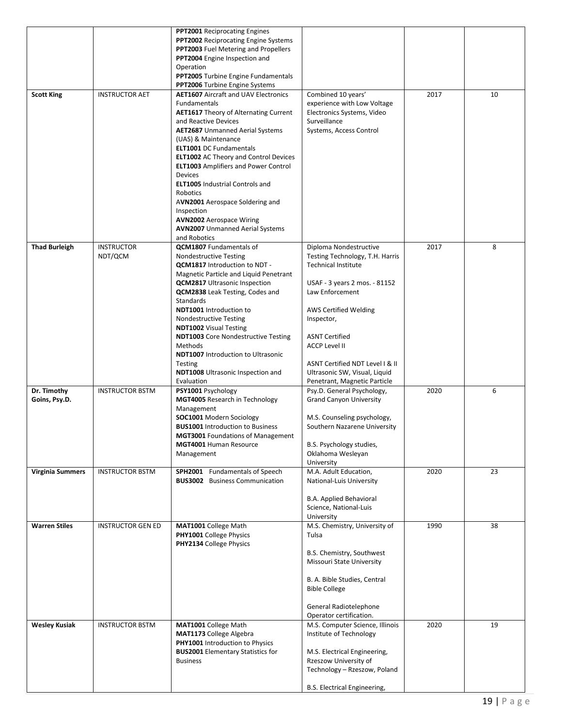|                              |                              | PPT2001 Reciprocating Engines<br><b>PPT2002</b> Reciprocating Engine Systems<br>PPT2003 Fuel Metering and Propellers<br>PPT2004 Engine Inspection and<br>Operation<br><b>PPT2005</b> Turbine Engine Fundamentals<br><b>PPT2006</b> Turbine Engine Systems                                                                                                                                                                                                                                                                                            |                                                                                                                                                                                                                                                                                                                                         |      |    |
|------------------------------|------------------------------|------------------------------------------------------------------------------------------------------------------------------------------------------------------------------------------------------------------------------------------------------------------------------------------------------------------------------------------------------------------------------------------------------------------------------------------------------------------------------------------------------------------------------------------------------|-----------------------------------------------------------------------------------------------------------------------------------------------------------------------------------------------------------------------------------------------------------------------------------------------------------------------------------------|------|----|
| <b>Scott King</b>            | <b>INSTRUCTOR AET</b>        | <b>AET1607</b> Aircraft and UAV Electronics<br>Fundamentals<br><b>AET1617</b> Theory of Alternating Current<br>and Reactive Devices<br><b>AET2687</b> Unmanned Aerial Systems<br>(UAS) & Maintenance<br><b>ELT1001 DC Fundamentals</b><br><b>ELT1002</b> AC Theory and Control Devices<br><b>ELT1003</b> Amplifiers and Power Control<br>Devices<br><b>ELT1005</b> Industrial Controls and<br>Robotics<br>AVN2001 Aerospace Soldering and<br>Inspection<br><b>AVN2002</b> Aerospace Wiring<br><b>AVN2007</b> Unmanned Aerial Systems<br>and Robotics | Combined 10 years'<br>experience with Low Voltage<br>Electronics Systems, Video<br>Surveillance<br>Systems, Access Control                                                                                                                                                                                                              | 2017 | 10 |
| <b>Thad Burleigh</b>         | <b>INSTRUCTOR</b><br>NDT/QCM | QCM1807 Fundamentals of<br><b>Nondestructive Testing</b><br><b>QCM1817</b> Introduction to NDT -<br>Magnetic Particle and Liquid Penetrant<br><b>QCM2817</b> Ultrasonic Inspection<br><b>QCM2838</b> Leak Testing, Codes and<br><b>Standards</b><br><b>NDT1001</b> Introduction to<br><b>Nondestructive Testing</b><br><b>NDT1002</b> Visual Testing<br><b>NDT1003</b> Core Nondestructive Testing<br>Methods<br><b>NDT1007</b> Introduction to Ultrasonic<br><b>Testing</b><br><b>NDT1008</b> Ultrasonic Inspection and<br>Evaluation               | Diploma Nondestructive<br>Testing Technology, T.H. Harris<br><b>Technical Institute</b><br>USAF - 3 years 2 mos. - 81152<br>Law Enforcement<br>AWS Certified Welding<br>Inspector,<br><b>ASNT Certified</b><br><b>ACCP Level II</b><br>ASNT Certified NDT Level I & II<br>Ultrasonic SW, Visual, Liquid<br>Penetrant, Magnetic Particle | 2017 | 8  |
| Dr. Timothy<br>Goins, Psy.D. | <b>INSTRUCTOR BSTM</b>       | PSY1001 Psychology<br><b>MGT4005</b> Research in Technology<br>Management<br><b>SOC1001</b> Modern Sociology<br><b>BUS1001</b> Introduction to Business<br>MGT3001 Foundations of Management<br>MGT4001 Human Resource<br>Management                                                                                                                                                                                                                                                                                                                 | Psy.D. General Psychology,<br><b>Grand Canyon University</b><br>M.S. Counseling psychology,<br>Southern Nazarene University<br>B.S. Psychology studies,<br>Oklahoma Wesleyan<br>University                                                                                                                                              | 2020 | 6  |
| <b>Virginia Summers</b>      | <b>INSTRUCTOR BSTM</b>       | SPH2001 Fundamentals of Speech<br><b>BUS3002</b> Business Communication                                                                                                                                                                                                                                                                                                                                                                                                                                                                              | M.A. Adult Education,<br>National-Luis University<br>B.A. Applied Behavioral<br>Science, National-Luis<br>University                                                                                                                                                                                                                    | 2020 | 23 |
| <b>Warren Stiles</b>         | <b>INSTRUCTOR GEN ED</b>     | MAT1001 College Math<br><b>PHY1001</b> College Physics<br>PHY2134 College Physics                                                                                                                                                                                                                                                                                                                                                                                                                                                                    | M.S. Chemistry, University of<br>Tulsa<br>B.S. Chemistry, Southwest<br>Missouri State University<br>B. A. Bible Studies, Central<br><b>Bible College</b><br>General Radiotelephone<br>Operator certification.                                                                                                                           | 1990 | 38 |
| <b>Wesley Kusiak</b>         | <b>INSTRUCTOR BSTM</b>       | MAT1001 College Math<br><b>MAT1173</b> College Algebra<br><b>PHY1001</b> Introduction to Physics<br><b>BUS2001</b> Elementary Statistics for<br><b>Business</b>                                                                                                                                                                                                                                                                                                                                                                                      | M.S. Computer Science, Illinois<br>Institute of Technology<br>M.S. Electrical Engineering,<br>Rzeszow University of<br>Technology - Rzeszow, Poland<br>B.S. Electrical Engineering,                                                                                                                                                     | 2020 | 19 |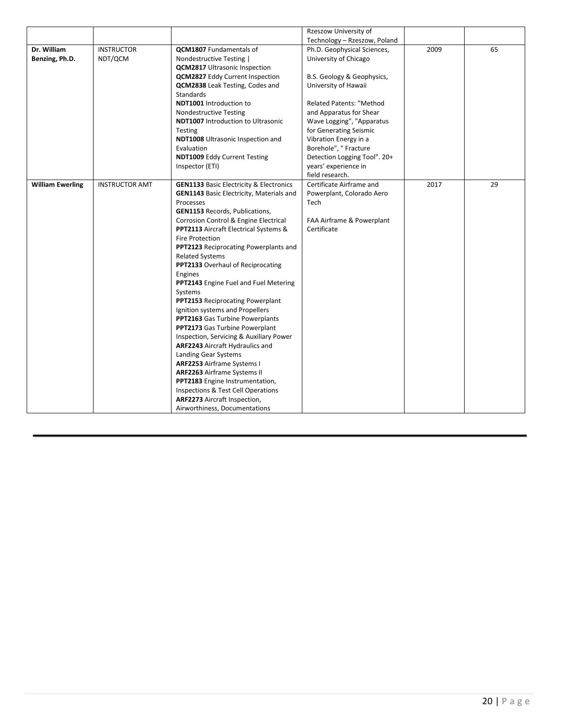|                         |                       |                                                    | Rzeszow University of                                       |      |    |
|-------------------------|-----------------------|----------------------------------------------------|-------------------------------------------------------------|------|----|
| Dr. William             | <b>INSTRUCTOR</b>     | <b>QCM1807</b> Fundamentals of                     | Technology - Rzeszow, Poland<br>Ph.D. Geophysical Sciences, | 2009 | 65 |
| Benzing, Ph.D.          | NDT/QCM               | Nondestructive Testing                             | University of Chicago                                       |      |    |
|                         |                       | <b>QCM2817</b> Ultrasonic Inspection               |                                                             |      |    |
|                         |                       | <b>QCM2827</b> Eddy Current Inspection             | B.S. Geology & Geophysics,                                  |      |    |
|                         |                       | QCM2838 Leak Testing, Codes and                    | University of Hawaii                                        |      |    |
|                         |                       | Standards                                          |                                                             |      |    |
|                         |                       | NDT1001 Introduction to                            | <b>Related Patents: "Method</b>                             |      |    |
|                         |                       | <b>Nondestructive Testing</b>                      | and Apparatus for Shear                                     |      |    |
|                         |                       | <b>NDT1007</b> Introduction to Ultrasonic          | Wave Logging", "Apparatus                                   |      |    |
|                         |                       | Testing                                            | for Generating Seismic                                      |      |    |
|                         |                       | NDT1008 Ultrasonic Inspection and                  | Vibration Energy in a                                       |      |    |
|                         |                       | Evaluation                                         | Borehole", " Fracture                                       |      |    |
|                         |                       | <b>NDT1009 Eddy Current Testing</b>                | Detection Logging Tool". 20+                                |      |    |
|                         |                       | Inspector (ETI)                                    | years' experience in                                        |      |    |
|                         |                       |                                                    | field research.                                             |      |    |
| <b>William Ewerling</b> | <b>INSTRUCTOR AMT</b> | <b>GEN1133 Basic Electricity &amp; Electronics</b> | Certificate Airframe and                                    | 2017 | 29 |
|                         |                       | <b>GEN1143</b> Basic Electricity, Materials and    | Powerplant, Colorado Aero                                   |      |    |
|                         |                       | Processes                                          | Tech                                                        |      |    |
|                         |                       | <b>GEN1153 Records, Publications,</b>              |                                                             |      |    |
|                         |                       | Corrosion Control & Engine Electrical              | FAA Airframe & Powerplant                                   |      |    |
|                         |                       | PPT2113 Aircraft Electrical Systems &              | Certificate                                                 |      |    |
|                         |                       | <b>Fire Protection</b>                             |                                                             |      |    |
|                         |                       | PPT2123 Reciprocating Powerplants and              |                                                             |      |    |
|                         |                       | <b>Related Systems</b>                             |                                                             |      |    |
|                         |                       | PPT2133 Overhaul of Reciprocating                  |                                                             |      |    |
|                         |                       | Engines                                            |                                                             |      |    |
|                         |                       | PPT2143 Engine Fuel and Fuel Metering              |                                                             |      |    |
|                         |                       | Systems<br>PPT2153 Reciprocating Powerplant        |                                                             |      |    |
|                         |                       | Ignition systems and Propellers                    |                                                             |      |    |
|                         |                       | PPT2163 Gas Turbine Powerplants                    |                                                             |      |    |
|                         |                       | PPT2173 Gas Turbine Powerplant                     |                                                             |      |    |
|                         |                       | Inspection, Servicing & Auxiliary Power            |                                                             |      |    |
|                         |                       | <b>ARF2243</b> Aircraft Hydraulics and             |                                                             |      |    |
|                         |                       | Landing Gear Systems                               |                                                             |      |    |
|                         |                       | <b>ARF2253</b> Airframe Systems I                  |                                                             |      |    |
|                         |                       | <b>ARF2263</b> Airframe Systems II                 |                                                             |      |    |
|                         |                       | PPT2183 Engine Instrumentation,                    |                                                             |      |    |
|                         |                       | Inspections & Test Cell Operations                 |                                                             |      |    |
|                         |                       | ARF2273 Aircraft Inspection,                       |                                                             |      |    |
|                         |                       | Airworthiness, Documentations                      |                                                             |      |    |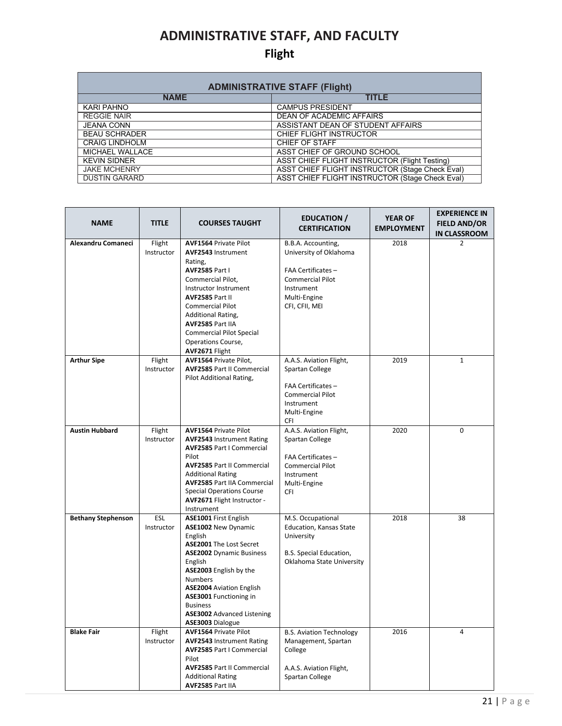### **ADMINISTRATIVE STAFF, AND FACULTY**

### **Flight**

| <b>ADMINISTRATIVE STAFF (Flight)</b> |                                                      |  |  |  |  |  |
|--------------------------------------|------------------------------------------------------|--|--|--|--|--|
| <b>NAME</b>                          | <b>TITLE</b>                                         |  |  |  |  |  |
| KARI PAHNO                           | <b>CAMPUS PRESIDENT</b>                              |  |  |  |  |  |
| <b>REGGIE NAIR</b>                   | <b>DEAN OF ACADEMIC AFFAIRS</b>                      |  |  |  |  |  |
| <b>JEANA CONN</b>                    | ASSISTANT DEAN OF STUDENT AFFAIRS                    |  |  |  |  |  |
| <b>BEAU SCHRADER</b>                 | CHIEF FLIGHT INSTRUCTOR                              |  |  |  |  |  |
| <b>CRAIG LINDHOLM</b>                | CHIEF OF STAFF                                       |  |  |  |  |  |
| MICHAEL WALLACE                      | ASST CHIEF OF GROUND SCHOOL                          |  |  |  |  |  |
| <b>KEVIN SIDNER</b>                  | <b>ASST CHIEF FLIGHT INSTRUCTOR (Flight Testing)</b> |  |  |  |  |  |
| <b>JAKE MCHENRY</b>                  | ASST CHIEF FLIGHT INSTRUCTOR (Stage Check Eval)      |  |  |  |  |  |
| <b>DUSTIN GARARD</b>                 | ASST CHIEF FLIGHT INSTRUCTOR (Stage Check Eval)      |  |  |  |  |  |

| <b>NAME</b>               | <b>TITLE</b>         | <b>COURSES TAUGHT</b>                                                                                                                                                                                                                                                                                                        | <b>EDUCATION</b> /<br><b>CERTIFICATION</b>                                                                                                    | <b>YEAR OF</b><br><b>EMPLOYMENT</b> | <b>EXPERIENCE IN</b><br><b>FIELD AND/OR</b><br><b>IN CLASSROOM</b> |
|---------------------------|----------------------|------------------------------------------------------------------------------------------------------------------------------------------------------------------------------------------------------------------------------------------------------------------------------------------------------------------------------|-----------------------------------------------------------------------------------------------------------------------------------------------|-------------------------------------|--------------------------------------------------------------------|
| Alexandru Comaneci        | Flight<br>Instructor | <b>AVF1564 Private Pilot</b><br><b>AVF2543 Instrument</b><br>Rating,<br><b>AVF2585 Part I</b><br>Commercial Pilot,<br>Instructor Instrument<br>AVF2585 Part II<br><b>Commercial Pilot</b><br>Additional Rating,<br>AVF2585 Part IIA<br><b>Commercial Pilot Special</b><br>Operations Course,<br>AVF2671 Flight               | B.B.A. Accounting,<br>University of Oklahoma<br>FAA Certificates -<br><b>Commercial Pilot</b><br>Instrument<br>Multi-Engine<br>CFI, CFII, MEI | 2018                                | $\overline{2}$                                                     |
| <b>Arthur Sipe</b>        | Flight<br>Instructor | AVF1564 Private Pilot,<br><b>AVF2585 Part II Commercial</b><br>Pilot Additional Rating,                                                                                                                                                                                                                                      | A.A.S. Aviation Flight,<br>Spartan College<br>FAA Certificates -<br><b>Commercial Pilot</b><br>Instrument<br>Multi-Engine<br><b>CFI</b>       | 2019                                | $\mathbf{1}$                                                       |
| <b>Austin Hubbard</b>     | Flight<br>Instructor | <b>AVF1564 Private Pilot</b><br><b>AVF2543 Instrument Rating</b><br><b>AVF2585 Part I Commercial</b><br>Pilot<br><b>AVF2585 Part II Commercial</b><br><b>Additional Rating</b><br><b>AVF2585 Part IIA Commercial</b><br><b>Special Operations Course</b><br>AVF2671 Flight Instructor -<br>Instrument                        | A.A.S. Aviation Flight,<br>Spartan College<br>FAA Certificates -<br><b>Commercial Pilot</b><br>Instrument<br>Multi-Engine<br>CFI              | 2020                                | 0                                                                  |
| <b>Bethany Stephenson</b> | ESL<br>Instructor    | ASE1001 First English<br>ASE1002 New Dynamic<br>English<br><b>ASE2001</b> The Lost Secret<br><b>ASE2002</b> Dynamic Business<br>English<br>ASE2003 English by the<br><b>Numbers</b><br><b>ASE2004</b> Aviation English<br>ASE3001 Functioning in<br><b>Business</b><br><b>ASE3002</b> Advanced Listening<br>ASE3003 Dialogue | M.S. Occupational<br>Education, Kansas State<br>University<br>B.S. Special Education,<br>Oklahoma State University                            | 2018                                | 38                                                                 |
| <b>Blake Fair</b>         | Flight<br>Instructor | <b>AVF1564 Private Pilot</b><br><b>AVF2543 Instrument Rating</b><br><b>AVF2585 Part I Commercial</b><br>Pilot<br><b>AVF2585 Part II Commercial</b><br><b>Additional Rating</b><br>AVF2585 Part IIA                                                                                                                           | <b>B.S. Aviation Technology</b><br>Management, Spartan<br>College<br>A.A.S. Aviation Flight,<br>Spartan College                               | 2016                                | 4                                                                  |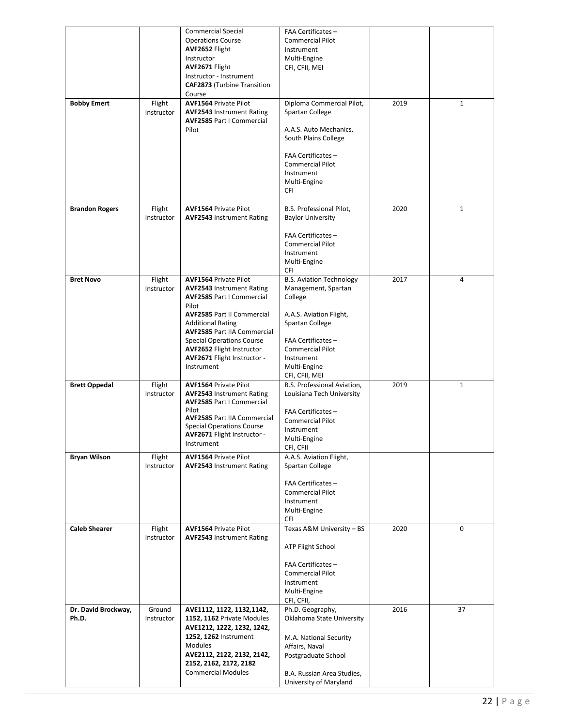|                              |                      | <b>Commercial Special</b><br><b>Operations Course</b><br>AVF2652 Flight<br>Instructor<br>AVF2671 Flight<br>Instructor - Instrument<br><b>CAF2873</b> (Turbine Transition<br>Course                                                                                                                                                        | FAA Certificates -<br><b>Commercial Pilot</b><br>Instrument<br>Multi-Engine<br>CFI, CFII, MEI                                                                                                                    |      |              |
|------------------------------|----------------------|-------------------------------------------------------------------------------------------------------------------------------------------------------------------------------------------------------------------------------------------------------------------------------------------------------------------------------------------|------------------------------------------------------------------------------------------------------------------------------------------------------------------------------------------------------------------|------|--------------|
| <b>Bobby Emert</b>           | Flight<br>Instructor | <b>AVF1564 Private Pilot</b><br><b>AVF2543 Instrument Rating</b><br><b>AVF2585 Part I Commercial</b><br>Pilot                                                                                                                                                                                                                             | Diploma Commercial Pilot,<br>Spartan College<br>A.A.S. Auto Mechanics,<br>South Plains College<br>FAA Certificates -<br><b>Commercial Pilot</b><br>Instrument<br>Multi-Engine<br>CFI                             | 2019 | 1            |
| <b>Brandon Rogers</b>        | Flight<br>Instructor | <b>AVF1564 Private Pilot</b><br><b>AVF2543 Instrument Rating</b>                                                                                                                                                                                                                                                                          | B.S. Professional Pilot,<br><b>Baylor University</b><br>FAA Certificates -<br><b>Commercial Pilot</b><br>Instrument<br>Multi-Engine<br><b>CFI</b>                                                                | 2020 | 1            |
| <b>Bret Novo</b>             | Flight<br>Instructor | <b>AVF1564 Private Pilot</b><br><b>AVF2543 Instrument Rating</b><br><b>AVF2585 Part I Commercial</b><br>Pilot<br><b>AVF2585 Part II Commercial</b><br><b>Additional Rating</b><br><b>AVF2585 Part IIA Commercial</b><br><b>Special Operations Course</b><br><b>AVF2652 Flight Instructor</b><br>AVF2671 Flight Instructor -<br>Instrument | <b>B.S. Aviation Technology</b><br>Management, Spartan<br>College<br>A.A.S. Aviation Flight,<br>Spartan College<br>FAA Certificates -<br><b>Commercial Pilot</b><br>Instrument<br>Multi-Engine<br>CFI, CFII, MEI | 2017 | 4            |
| <b>Brett Oppedal</b>         | Flight<br>Instructor | <b>AVF1564 Private Pilot</b><br><b>AVF2543 Instrument Rating</b><br><b>AVF2585 Part I Commercial</b><br>Pilot<br><b>AVF2585 Part IIA Commercial</b><br><b>Special Operations Course</b><br><b>AVF2671 Flight Instructor -</b><br>Instrument                                                                                               | B.S. Professional Aviation,<br>Louisiana Tech University<br>FAA Certificates -<br><b>Commercial Pilot</b><br>Instrument<br>Multi-Engine<br>CFI, CFII                                                             | 2019 | $\mathbf{1}$ |
| <b>Bryan Wilson</b>          | Flight<br>Instructor | <b>AVF1564 Private Pilot</b><br><b>AVF2543 Instrument Rating</b>                                                                                                                                                                                                                                                                          | A.A.S. Aviation Flight,<br>Spartan College<br>FAA Certificates -<br><b>Commercial Pilot</b><br>Instrument<br>Multi-Engine<br>CFI                                                                                 |      |              |
| <b>Caleb Shearer</b>         | Flight<br>Instructor | <b>AVF1564 Private Pilot</b><br><b>AVF2543 Instrument Rating</b>                                                                                                                                                                                                                                                                          | Texas A&M University - BS<br>ATP Flight School<br>FAA Certificates -<br><b>Commercial Pilot</b><br>Instrument<br>Multi-Engine<br>CFI, CFII,                                                                      | 2020 | 0            |
| Dr. David Brockway,<br>Ph.D. | Ground<br>Instructor | AVE1112, 1122, 1132, 1142,<br>1152, 1162 Private Modules<br>AVE1212, 1222, 1232, 1242,<br>1252, 1262 Instrument<br>Modules<br>AVE2112, 2122, 2132, 2142,<br>2152, 2162, 2172, 2182<br><b>Commercial Modules</b>                                                                                                                           | Ph.D. Geography,<br>Oklahoma State University<br>M.A. National Security<br>Affairs, Naval<br>Postgraduate School<br>B.A. Russian Area Studies,<br>University of Maryland                                         | 2016 | 37           |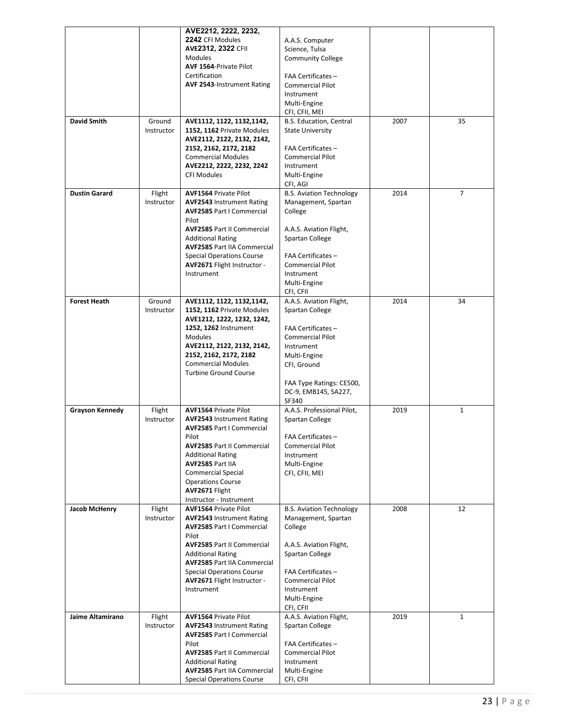|                        |            | AVE2212, 2222, 2232,                         |                                       |      |                |
|------------------------|------------|----------------------------------------------|---------------------------------------|------|----------------|
|                        |            | 2242 CFI Modules                             | A.A.S. Computer                       |      |                |
|                        |            | <b>AVE2312, 2322 CFII</b>                    | Science, Tulsa                        |      |                |
|                        |            | <b>Modules</b>                               | <b>Community College</b>              |      |                |
|                        |            | AVF 1564-Private Pilot                       |                                       |      |                |
|                        |            | Certification                                | FAA Certificates -                    |      |                |
|                        |            | <b>AVF 2543-Instrument Rating</b>            | <b>Commercial Pilot</b>               |      |                |
|                        |            |                                              | Instrument                            |      |                |
|                        |            |                                              | Multi-Engine<br>CFI, CFII, MEI        |      |                |
| <b>David Smith</b>     | Ground     | AVE1112, 1122, 1132, 1142,                   | B.S. Education, Central               | 2007 | 35             |
|                        | Instructor | 1152, 1162 Private Modules                   | <b>State University</b>               |      |                |
|                        |            | AVE2112, 2122, 2132, 2142,                   |                                       |      |                |
|                        |            | 2152, 2162, 2172, 2182                       | FAA Certificates -                    |      |                |
|                        |            | <b>Commercial Modules</b>                    | <b>Commercial Pilot</b>               |      |                |
|                        |            | AVE2212, 2222, 2232, 2242                    | Instrument                            |      |                |
|                        |            | <b>CFI Modules</b>                           | Multi-Engine                          |      |                |
|                        |            |                                              | CFI, AGI                              |      |                |
| <b>Dustin Garard</b>   | Flight     | <b>AVF1564 Private Pilot</b>                 | <b>B.S. Aviation Technology</b>       | 2014 | $\overline{7}$ |
|                        | Instructor | <b>AVF2543 Instrument Rating</b>             | Management, Spartan                   |      |                |
|                        |            | <b>AVF2585 Part I Commercial</b>             | College                               |      |                |
|                        |            | Pilot<br><b>AVF2585 Part II Commercial</b>   | A.A.S. Aviation Flight,               |      |                |
|                        |            | <b>Additional Rating</b>                     | Spartan College                       |      |                |
|                        |            | <b>AVF2585 Part IIA Commercial</b>           |                                       |      |                |
|                        |            | <b>Special Operations Course</b>             | FAA Certificates -                    |      |                |
|                        |            | AVF2671 Flight Instructor -                  | <b>Commercial Pilot</b>               |      |                |
|                        |            | Instrument                                   | Instrument                            |      |                |
|                        |            |                                              | Multi-Engine                          |      |                |
|                        |            |                                              | CFI, CFII                             |      |                |
| <b>Forest Heath</b>    | Ground     | AVE1112, 1122, 1132, 1142,                   | A.A.S. Aviation Flight,               | 2014 | 34             |
|                        | Instructor | 1152, 1162 Private Modules                   | Spartan College                       |      |                |
|                        |            | AVE1212, 1222, 1232, 1242,                   |                                       |      |                |
|                        |            | 1252, 1262 Instrument                        | FAA Certificates -                    |      |                |
|                        |            | <b>Modules</b><br>AVE2112, 2122, 2132, 2142, | <b>Commercial Pilot</b><br>Instrument |      |                |
|                        |            | 2152, 2162, 2172, 2182                       | Multi-Engine                          |      |                |
|                        |            | <b>Commercial Modules</b>                    | CFI, Ground                           |      |                |
|                        |            | <b>Turbine Ground Course</b>                 |                                       |      |                |
|                        |            |                                              | FAA Type Ratings: CE500,              |      |                |
|                        |            |                                              | DC-9, EMB145, SA227,                  |      |                |
|                        |            |                                              | SF340                                 |      |                |
| <b>Grayson Kennedy</b> | Flight     | <b>AVF1564 Private Pilot</b>                 | A.A.S. Professional Pilot,            | 2019 | $\mathbf{1}$   |
|                        | Instructor | <b>AVF2543 Instrument Rating</b>             | Spartan College                       |      |                |
|                        |            | <b>AVF2585 Part I Commercial</b>             |                                       |      |                |
|                        |            | Pilot<br><b>AVF2585 Part II Commercial</b>   | FAA Certificates -                    |      |                |
|                        |            | <b>Additional Rating</b>                     | <b>Commercial Pilot</b><br>Instrument |      |                |
|                        |            | AVF2585 Part IIA                             | Multi-Engine                          |      |                |
|                        |            | <b>Commercial Special</b>                    | CFI, CFII, MEI                        |      |                |
|                        |            | <b>Operations Course</b>                     |                                       |      |                |
|                        |            | AVF2671 Flight                               |                                       |      |                |
|                        |            | Instructor - Instrument                      |                                       |      |                |
| Jacob McHenry          | Flight     | <b>AVF1564 Private Pilot</b>                 | <b>B.S. Aviation Technology</b>       | 2008 | 12             |
|                        | Instructor | <b>AVF2543 Instrument Rating</b>             | Management, Spartan                   |      |                |
|                        |            | <b>AVF2585 Part I Commercial</b><br>Pilot    | College                               |      |                |
|                        |            | <b>AVF2585 Part II Commercial</b>            | A.A.S. Aviation Flight,               |      |                |
|                        |            | <b>Additional Rating</b>                     | Spartan College                       |      |                |
|                        |            | <b>AVF2585 Part IIA Commercial</b>           |                                       |      |                |
|                        |            | <b>Special Operations Course</b>             | FAA Certificates -                    |      |                |
|                        |            | AVF2671 Flight Instructor -                  | <b>Commercial Pilot</b>               |      |                |
|                        |            | Instrument                                   | Instrument                            |      |                |
|                        |            |                                              | Multi-Engine                          |      |                |
| Jaime Altamirano       | Flight     | <b>AVF1564 Private Pilot</b>                 | CFI, CFII<br>A.A.S. Aviation Flight,  | 2019 | $\mathbf{1}$   |
|                        | Instructor | <b>AVF2543 Instrument Rating</b>             | Spartan College                       |      |                |
|                        |            | <b>AVF2585 Part I Commercial</b>             |                                       |      |                |
|                        |            | Pilot                                        | FAA Certificates -                    |      |                |
|                        |            | <b>AVF2585 Part II Commercial</b>            | <b>Commercial Pilot</b>               |      |                |
|                        |            | <b>Additional Rating</b>                     | Instrument                            |      |                |
|                        |            | <b>AVF2585 Part IIA Commercial</b>           | Multi-Engine                          |      |                |
|                        |            | <b>Special Operations Course</b>             | CFI, CFII                             |      |                |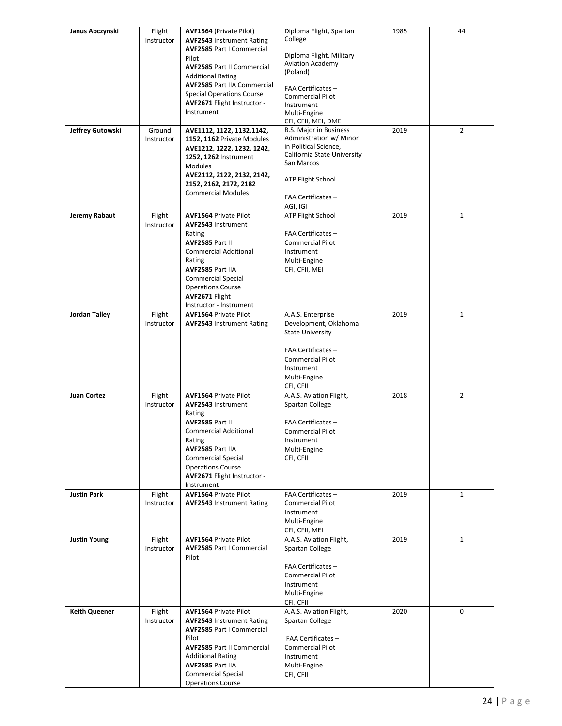| Janus Abczynski      | Flight               | AVF1564 (Private Pilot)                                         | Diploma Flight, Spartan                              | 1985 | 44             |
|----------------------|----------------------|-----------------------------------------------------------------|------------------------------------------------------|------|----------------|
|                      | Instructor           | <b>AVF2543 Instrument Rating</b>                                | College                                              |      |                |
|                      |                      | <b>AVF2585 Part I Commercial</b>                                |                                                      |      |                |
|                      |                      | Pilot                                                           | Diploma Flight, Military<br><b>Aviation Academy</b>  |      |                |
|                      |                      | <b>AVF2585 Part II Commercial</b>                               | (Poland)                                             |      |                |
|                      |                      | <b>Additional Rating</b>                                        |                                                      |      |                |
|                      |                      | <b>AVF2585 Part IIA Commercial</b>                              | FAA Certificates -                                   |      |                |
|                      |                      | <b>Special Operations Course</b><br>AVF2671 Flight Instructor - | <b>Commercial Pilot</b>                              |      |                |
|                      |                      | Instrument                                                      | Instrument<br>Multi-Engine                           |      |                |
|                      |                      |                                                                 | CFI, CFII, MEI, DME                                  |      |                |
| Jeffrey Gutowski     | Ground               | AVE1112, 1122, 1132, 1142,                                      | <b>B.S. Major in Business</b>                        | 2019 | $\overline{2}$ |
|                      | Instructor           | 1152, 1162 Private Modules                                      | Administration w/ Minor                              |      |                |
|                      |                      | AVE1212, 1222, 1232, 1242,                                      | in Political Science,<br>California State University |      |                |
|                      |                      | 1252, 1262 Instrument                                           | San Marcos                                           |      |                |
|                      |                      | <b>Modules</b><br>AVE2112, 2122, 2132, 2142,                    |                                                      |      |                |
|                      |                      | 2152, 2162, 2172, 2182                                          | <b>ATP Flight School</b>                             |      |                |
|                      |                      | <b>Commercial Modules</b>                                       |                                                      |      |                |
|                      |                      |                                                                 | FAA Certificates -                                   |      |                |
|                      |                      |                                                                 | AGI, IGI                                             |      |                |
| Jeremy Rabaut        | Flight<br>Instructor | <b>AVF1564 Private Pilot</b><br><b>AVF2543 Instrument</b>       | <b>ATP Flight School</b>                             | 2019 | $\mathbf{1}$   |
|                      |                      | Rating                                                          | FAA Certificates -                                   |      |                |
|                      |                      | AVF2585 Part II                                                 | <b>Commercial Pilot</b>                              |      |                |
|                      |                      | <b>Commercial Additional</b>                                    | Instrument                                           |      |                |
|                      |                      | Rating                                                          | Multi-Engine                                         |      |                |
|                      |                      | AVF2585 Part IIA                                                | CFI, CFII, MEI                                       |      |                |
|                      |                      | <b>Commercial Special</b>                                       |                                                      |      |                |
|                      |                      | <b>Operations Course</b><br>AVF2671 Flight                      |                                                      |      |                |
|                      |                      | Instructor - Instrument                                         |                                                      |      |                |
| <b>Jordan Talley</b> | Flight               | <b>AVF1564 Private Pilot</b>                                    | A.A.S. Enterprise                                    | 2019 | $\mathbf{1}$   |
|                      | Instructor           | <b>AVF2543 Instrument Rating</b>                                | Development, Oklahoma                                |      |                |
|                      |                      |                                                                 | <b>State University</b>                              |      |                |
|                      |                      |                                                                 |                                                      |      |                |
|                      |                      |                                                                 | FAA Certificates -                                   |      |                |
|                      |                      |                                                                 | <b>Commercial Pilot</b>                              |      |                |
|                      |                      |                                                                 | Instrument<br>Multi-Engine                           |      |                |
|                      |                      |                                                                 | CFI, CFII                                            |      |                |
| Juan Cortez          | Flight               | <b>AVF1564 Private Pilot</b>                                    | A.A.S. Aviation Flight,                              | 2018 | $\overline{2}$ |
|                      | Instructor           | <b>AVF2543 Instrument</b>                                       | Spartan College                                      |      |                |
|                      |                      | Rating                                                          |                                                      |      |                |
|                      |                      | AVF2585 Part II                                                 | FAA Certificates -                                   |      |                |
|                      |                      | <b>Commercial Additional</b>                                    | <b>Commercial Pilot</b>                              |      |                |
|                      |                      | Rating<br>AVF2585 Part IIA                                      | Instrument<br>Multi-Engine                           |      |                |
|                      |                      | <b>Commercial Special</b>                                       | CFI, CFII                                            |      |                |
|                      |                      | <b>Operations Course</b>                                        |                                                      |      |                |
|                      |                      | AVF2671 Flight Instructor -                                     |                                                      |      |                |
|                      |                      | Instrument                                                      |                                                      |      |                |
| <b>Justin Park</b>   | Flight               | <b>AVF1564 Private Pilot</b>                                    | FAA Certificates -                                   | 2019 | $\mathbf{1}$   |
|                      | Instructor           | <b>AVF2543 Instrument Rating</b>                                | <b>Commercial Pilot</b>                              |      |                |
|                      |                      |                                                                 | Instrument<br>Multi-Engine                           |      |                |
|                      |                      |                                                                 | CFI, CFII, MEI                                       |      |                |
| <b>Justin Young</b>  | Flight               | <b>AVF1564 Private Pilot</b>                                    | A.A.S. Aviation Flight,                              | 2019 | $\mathbf{1}$   |
|                      | Instructor           | <b>AVF2585 Part I Commercial</b>                                | Spartan College                                      |      |                |
|                      |                      | Pilot                                                           |                                                      |      |                |
|                      |                      |                                                                 | FAA Certificates -                                   |      |                |
|                      |                      |                                                                 | <b>Commercial Pilot</b><br>Instrument                |      |                |
|                      |                      |                                                                 | Multi-Engine                                         |      |                |
|                      |                      |                                                                 | CFI, CFII                                            |      |                |
| <b>Keith Queener</b> | Flight               | <b>AVF1564 Private Pilot</b>                                    | A.A.S. Aviation Flight,                              | 2020 | $\Omega$       |
|                      | Instructor           | <b>AVF2543 Instrument Rating</b>                                | Spartan College                                      |      |                |
|                      |                      | <b>AVF2585 Part I Commercial</b>                                |                                                      |      |                |
|                      |                      | Pilot                                                           | FAA Certificates -                                   |      |                |
|                      |                      | <b>AVF2585 Part II Commercial</b>                               | <b>Commercial Pilot</b>                              |      |                |
|                      |                      | <b>Additional Rating</b><br>AVF2585 Part IIA                    | Instrument<br>Multi-Engine                           |      |                |
|                      |                      | <b>Commercial Special</b>                                       | CFI, CFII                                            |      |                |
|                      |                      | <b>Operations Course</b>                                        |                                                      |      |                |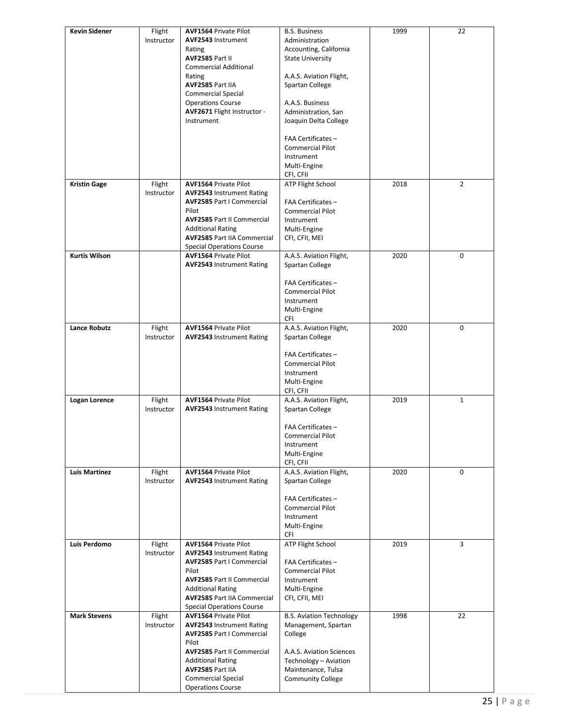| <b>Kevin Sidener</b> | Flight     | <b>AVF1564 Private Pilot</b>       | <b>B.S. Business</b>            | 1999 | 22             |
|----------------------|------------|------------------------------------|---------------------------------|------|----------------|
|                      | Instructor | <b>AVF2543 Instrument</b>          | Administration                  |      |                |
|                      |            | Rating                             | Accounting, California          |      |                |
|                      |            | AVF2585 Part II                    | <b>State University</b>         |      |                |
|                      |            | <b>Commercial Additional</b>       |                                 |      |                |
|                      |            | Rating                             | A.A.S. Aviation Flight,         |      |                |
|                      |            | AVF2585 Part IIA                   | Spartan College                 |      |                |
|                      |            |                                    |                                 |      |                |
|                      |            | <b>Commercial Special</b>          |                                 |      |                |
|                      |            | <b>Operations Course</b>           | A.A.S. Business                 |      |                |
|                      |            | AVF2671 Flight Instructor -        | Administration, San             |      |                |
|                      |            | Instrument                         | Joaquin Delta College           |      |                |
|                      |            |                                    |                                 |      |                |
|                      |            |                                    | FAA Certificates -              |      |                |
|                      |            |                                    | <b>Commercial Pilot</b>         |      |                |
|                      |            |                                    | Instrument                      |      |                |
|                      |            |                                    | Multi-Engine                    |      |                |
|                      |            |                                    | CFI, CFII                       |      |                |
| <b>Kristin Gage</b>  | Flight     | <b>AVF1564 Private Pilot</b>       | <b>ATP Flight School</b>        | 2018 | $\overline{2}$ |
|                      | Instructor | <b>AVF2543 Instrument Rating</b>   |                                 |      |                |
|                      |            | <b>AVF2585 Part I Commercial</b>   | FAA Certificates -              |      |                |
|                      |            | Pilot                              | <b>Commercial Pilot</b>         |      |                |
|                      |            | <b>AVF2585 Part II Commercial</b>  | Instrument                      |      |                |
|                      |            | <b>Additional Rating</b>           | Multi-Engine                    |      |                |
|                      |            | <b>AVF2585 Part IIA Commercial</b> | CFI, CFII, MEI                  |      |                |
|                      |            | <b>Special Operations Course</b>   |                                 |      |                |
| <b>Kurtis Wilson</b> |            | <b>AVF1564 Private Pilot</b>       | A.A.S. Aviation Flight,         | 2020 | 0              |
|                      |            | <b>AVF2543 Instrument Rating</b>   | Spartan College                 |      |                |
|                      |            |                                    |                                 |      |                |
|                      |            |                                    | FAA Certificates -              |      |                |
|                      |            |                                    | <b>Commercial Pilot</b>         |      |                |
|                      |            |                                    | Instrument                      |      |                |
|                      |            |                                    | Multi-Engine                    |      |                |
|                      |            |                                    | CFI                             |      |                |
| <b>Lance Robutz</b>  | Flight     | <b>AVF1564 Private Pilot</b>       | A.A.S. Aviation Flight,         | 2020 | 0              |
|                      | Instructor | <b>AVF2543 Instrument Rating</b>   | Spartan College                 |      |                |
|                      |            |                                    |                                 |      |                |
|                      |            |                                    | FAA Certificates -              |      |                |
|                      |            |                                    | <b>Commercial Pilot</b>         |      |                |
|                      |            |                                    | Instrument                      |      |                |
|                      |            |                                    | Multi-Engine                    |      |                |
|                      |            |                                    | CFI, CFII                       |      |                |
| Logan Lorence        | Flight     | <b>AVF1564 Private Pilot</b>       | A.A.S. Aviation Flight,         | 2019 | $\mathbf{1}$   |
|                      | Instructor | <b>AVF2543 Instrument Rating</b>   | Spartan College                 |      |                |
|                      |            |                                    |                                 |      |                |
|                      |            |                                    | FAA Certificates -              |      |                |
|                      |            |                                    | Commercial Pilot                |      |                |
|                      |            |                                    | Instrument                      |      |                |
|                      |            |                                    | Multi-Engine                    |      |                |
|                      |            |                                    | CFI, CFII                       |      |                |
| <b>Luis Martinez</b> | Flight     | <b>AVF1564 Private Pilot</b>       | A.A.S. Aviation Flight,         | 2020 | 0              |
|                      | Instructor | <b>AVF2543 Instrument Rating</b>   | Spartan College                 |      |                |
|                      |            |                                    |                                 |      |                |
|                      |            |                                    | FAA Certificates -              |      |                |
|                      |            |                                    | <b>Commercial Pilot</b>         |      |                |
|                      |            |                                    | Instrument                      |      |                |
|                      |            |                                    | Multi-Engine                    |      |                |
|                      |            |                                    | CFI                             |      |                |
| Luis Perdomo         | Flight     | <b>AVF1564 Private Pilot</b>       | <b>ATP Flight School</b>        | 2019 | 3              |
|                      | Instructor | <b>AVF2543 Instrument Rating</b>   |                                 |      |                |
|                      |            | <b>AVF2585 Part I Commercial</b>   | FAA Certificates -              |      |                |
|                      |            | Pilot                              | <b>Commercial Pilot</b>         |      |                |
|                      |            | <b>AVF2585 Part II Commercial</b>  | Instrument                      |      |                |
|                      |            | <b>Additional Rating</b>           | Multi-Engine                    |      |                |
|                      |            | <b>AVF2585 Part IIA Commercial</b> | CFI, CFII, MEI                  |      |                |
|                      |            | <b>Special Operations Course</b>   |                                 |      |                |
| <b>Mark Stevens</b>  | Flight     | <b>AVF1564 Private Pilot</b>       | <b>B.S. Aviation Technology</b> | 1998 | 22             |
|                      | Instructor | <b>AVF2543 Instrument Rating</b>   | Management, Spartan             |      |                |
|                      |            | <b>AVF2585 Part I Commercial</b>   | College                         |      |                |
|                      |            | Pilot                              |                                 |      |                |
|                      |            | <b>AVF2585 Part II Commercial</b>  | A.A.S. Aviation Sciences        |      |                |
|                      |            | <b>Additional Rating</b>           | Technology - Aviation           |      |                |
|                      |            | AVF2585 Part IIA                   | Maintenance, Tulsa              |      |                |
|                      |            | <b>Commercial Special</b>          | <b>Community College</b>        |      |                |
|                      |            | <b>Operations Course</b>           |                                 |      |                |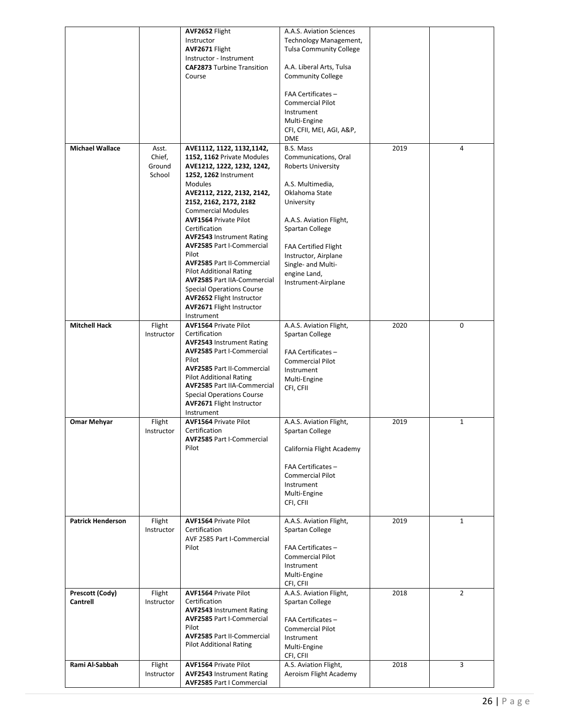|                          |                 | AVF2652 Flight<br>Instructor                                         | A.A.S. Aviation Sciences<br>Technology Management, |      |                |
|--------------------------|-----------------|----------------------------------------------------------------------|----------------------------------------------------|------|----------------|
|                          |                 | AVF2671 Flight                                                       | <b>Tulsa Community College</b>                     |      |                |
|                          |                 | Instructor - Instrument<br><b>CAF2873</b> Turbine Transition         | A.A. Liberal Arts, Tulsa                           |      |                |
|                          |                 | Course                                                               | <b>Community College</b>                           |      |                |
|                          |                 |                                                                      | FAA Certificates -                                 |      |                |
|                          |                 |                                                                      | <b>Commercial Pilot</b><br>Instrument              |      |                |
|                          |                 |                                                                      | Multi-Engine                                       |      |                |
|                          |                 |                                                                      | CFI, CFII, MEI, AGI, A&P,                          |      |                |
|                          |                 |                                                                      | <b>DME</b>                                         |      |                |
| <b>Michael Wallace</b>   | Asst.<br>Chief, | AVE1112, 1122, 1132, 1142,<br>1152, 1162 Private Modules             | B.S. Mass<br>Communications, Oral                  | 2019 | 4              |
|                          | Ground          | AVE1212, 1222, 1232, 1242,                                           | <b>Roberts University</b>                          |      |                |
|                          | School          | 1252, 1262 Instrument                                                |                                                    |      |                |
|                          |                 | <b>Modules</b><br>AVE2112, 2122, 2132, 2142,                         | A.S. Multimedia,<br>Oklahoma State                 |      |                |
|                          |                 | 2152, 2162, 2172, 2182                                               | University                                         |      |                |
|                          |                 | <b>Commercial Modules</b>                                            |                                                    |      |                |
|                          |                 | <b>AVF1564 Private Pilot</b>                                         | A.A.S. Aviation Flight,                            |      |                |
|                          |                 | Certification<br><b>AVF2543 Instrument Rating</b>                    | Spartan College                                    |      |                |
|                          |                 | <b>AVF2585 Part I-Commercial</b>                                     | <b>FAA Certified Flight</b>                        |      |                |
|                          |                 | Pilot                                                                | Instructor, Airplane                               |      |                |
|                          |                 | <b>AVF2585 Part II-Commercial</b><br><b>Pilot Additional Rating</b>  | Single- and Multi-                                 |      |                |
|                          |                 | <b>AVF2585 Part IIA-Commercial</b>                                   | engine Land,<br>Instrument-Airplane                |      |                |
|                          |                 | <b>Special Operations Course</b>                                     |                                                    |      |                |
|                          |                 | <b>AVF2652 Flight Instructor</b><br>AVF2671 Flight Instructor        |                                                    |      |                |
|                          |                 | Instrument                                                           |                                                    |      |                |
| <b>Mitchell Hack</b>     | Flight          | <b>AVF1564 Private Pilot</b>                                         | A.A.S. Aviation Flight,                            | 2020 | 0              |
|                          | Instructor      | Certification                                                        | Spartan College                                    |      |                |
|                          |                 | <b>AVF2543 Instrument Rating</b><br><b>AVF2585 Part I-Commercial</b> | FAA Certificates -                                 |      |                |
|                          |                 | Pilot                                                                | <b>Commercial Pilot</b>                            |      |                |
|                          |                 | <b>AVF2585 Part II-Commercial</b>                                    | Instrument                                         |      |                |
|                          |                 | <b>Pilot Additional Rating</b><br><b>AVF2585 Part IIA-Commercial</b> | Multi-Engine                                       |      |                |
|                          |                 | <b>Special Operations Course</b>                                     | CFI, CFII                                          |      |                |
|                          |                 | AVF2671 Flight Instructor                                            |                                                    |      |                |
| <b>Omar Mehyar</b>       | Flight          | Instrument<br><b>AVF1564 Private Pilot</b>                           | A.A.S. Aviation Flight,                            | 2019 | $\mathbf{1}$   |
|                          | Instructor      | Certification                                                        | Spartan College                                    |      |                |
|                          |                 | <b>AVF2585 Part I-Commercial</b><br>Pilot                            | California Flight Academy                          |      |                |
|                          |                 |                                                                      | FAA Certificates -                                 |      |                |
|                          |                 |                                                                      | <b>Commercial Pilot</b>                            |      |                |
|                          |                 |                                                                      | Instrument                                         |      |                |
|                          |                 |                                                                      | Multi-Engine                                       |      |                |
|                          |                 |                                                                      | CFI, CFII                                          |      |                |
| <b>Patrick Henderson</b> | Flight          | <b>AVF1564 Private Pilot</b>                                         | A.A.S. Aviation Flight,                            | 2019 | $\mathbf{1}$   |
|                          | Instructor      | Certification                                                        | Spartan College                                    |      |                |
|                          |                 | AVF 2585 Part I-Commercial<br>Pilot                                  | FAA Certificates -                                 |      |                |
|                          |                 |                                                                      | <b>Commercial Pilot</b>                            |      |                |
|                          |                 |                                                                      | Instrument                                         |      |                |
|                          |                 |                                                                      | Multi-Engine<br>CFI, CFII                          |      |                |
| Prescott (Cody)          | Flight          | <b>AVF1564 Private Pilot</b>                                         | A.A.S. Aviation Flight,                            | 2018 | $\overline{2}$ |
| <b>Cantrell</b>          | Instructor      | Certification                                                        | Spartan College                                    |      |                |
|                          |                 | <b>AVF2543 Instrument Rating</b><br><b>AVF2585 Part I-Commercial</b> |                                                    |      |                |
|                          |                 | Pilot                                                                | FAA Certificates -<br><b>Commercial Pilot</b>      |      |                |
|                          |                 | <b>AVF2585 Part II-Commercial</b>                                    | Instrument                                         |      |                |
|                          |                 | <b>Pilot Additional Rating</b>                                       | Multi-Engine                                       |      |                |
| Rami Al-Sabbah           | Flight          | <b>AVF1564 Private Pilot</b>                                         | CFI, CFII<br>A.S. Aviation Flight,                 | 2018 | 3              |
|                          | Instructor      | <b>AVF2543 Instrument Rating</b>                                     | Aeroism Flight Academy                             |      |                |
|                          |                 | <b>AVF2585 Part I Commercial</b>                                     |                                                    |      |                |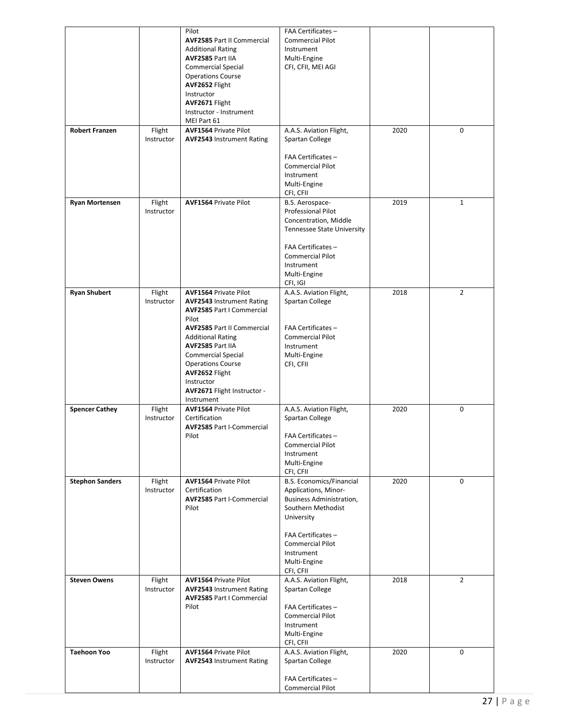|                        |            | Pilot                             | FAA Certificates -                |      |                |
|------------------------|------------|-----------------------------------|-----------------------------------|------|----------------|
|                        |            | <b>AVF2585 Part II Commercial</b> | <b>Commercial Pilot</b>           |      |                |
|                        |            | <b>Additional Rating</b>          | Instrument                        |      |                |
|                        |            | AVF2585 Part IIA                  | Multi-Engine                      |      |                |
|                        |            |                                   |                                   |      |                |
|                        |            | <b>Commercial Special</b>         | CFI, CFII, MEI AGI                |      |                |
|                        |            | <b>Operations Course</b>          |                                   |      |                |
|                        |            | AVF2652 Flight                    |                                   |      |                |
|                        |            | Instructor                        |                                   |      |                |
|                        |            | AVF2671 Flight                    |                                   |      |                |
|                        |            | Instructor - Instrument           |                                   |      |                |
|                        |            | MEI Part 61                       |                                   |      |                |
| <b>Robert Franzen</b>  | Flight     | <b>AVF1564 Private Pilot</b>      | A.A.S. Aviation Flight,           | 2020 | 0              |
|                        | Instructor | <b>AVF2543 Instrument Rating</b>  | Spartan College                   |      |                |
|                        |            |                                   |                                   |      |                |
|                        |            |                                   | FAA Certificates -                |      |                |
|                        |            |                                   | <b>Commercial Pilot</b>           |      |                |
|                        |            |                                   | Instrument                        |      |                |
|                        |            |                                   |                                   |      |                |
|                        |            |                                   | Multi-Engine                      |      |                |
|                        |            |                                   | CFI, CFII                         |      |                |
| <b>Ryan Mortensen</b>  | Flight     | <b>AVF1564 Private Pilot</b>      | B.S. Aerospace-                   | 2019 | $\mathbf{1}$   |
|                        | Instructor |                                   | <b>Professional Pilot</b>         |      |                |
|                        |            |                                   | Concentration, Middle             |      |                |
|                        |            |                                   | <b>Tennessee State University</b> |      |                |
|                        |            |                                   |                                   |      |                |
|                        |            |                                   | FAA Certificates -                |      |                |
|                        |            |                                   | <b>Commercial Pilot</b>           |      |                |
|                        |            |                                   | Instrument                        |      |                |
|                        |            |                                   | Multi-Engine                      |      |                |
|                        |            |                                   | CFI, IGI                          |      |                |
| <b>Ryan Shubert</b>    | Flight     | <b>AVF1564 Private Pilot</b>      | A.A.S. Aviation Flight,           | 2018 | $\overline{2}$ |
|                        | Instructor | <b>AVF2543 Instrument Rating</b>  | Spartan College                   |      |                |
|                        |            | <b>AVF2585 Part I Commercial</b>  |                                   |      |                |
|                        |            | Pilot                             |                                   |      |                |
|                        |            | <b>AVF2585 Part II Commercial</b> | FAA Certificates -                |      |                |
|                        |            | <b>Additional Rating</b>          | <b>Commercial Pilot</b>           |      |                |
|                        |            | AVF2585 Part IIA                  |                                   |      |                |
|                        |            |                                   | Instrument                        |      |                |
|                        |            | Commercial Special                | Multi-Engine                      |      |                |
|                        |            | <b>Operations Course</b>          | CFI, CFII                         |      |                |
|                        |            | AVF2652 Flight                    |                                   |      |                |
|                        |            | Instructor                        |                                   |      |                |
|                        |            | AVF2671 Flight Instructor -       |                                   |      |                |
|                        |            | Instrument                        |                                   |      |                |
| <b>Spencer Cathey</b>  | Flight     | <b>AVF1564 Private Pilot</b>      | A.A.S. Aviation Flight,           | 2020 | 0              |
|                        | Instructor | Certification                     | Spartan College                   |      |                |
|                        |            | <b>AVF2585 Part I-Commercial</b>  |                                   |      |                |
|                        |            | Pilot                             | FAA Certificates -                |      |                |
|                        |            |                                   | <b>Commercial Pilot</b>           |      |                |
|                        |            |                                   | Instrument                        |      |                |
|                        |            |                                   | Multi-Engine                      |      |                |
|                        |            |                                   | CFI, CFII                         |      |                |
| <b>Stephon Sanders</b> | Flight     | <b>AVF1564 Private Pilot</b>      | <b>B.S. Economics/Financial</b>   | 2020 | 0              |
|                        | Instructor | Certification                     | Applications, Minor-              |      |                |
|                        |            |                                   |                                   |      |                |
|                        |            | <b>AVF2585 Part I-Commercial</b>  | <b>Business Administration,</b>   |      |                |
|                        |            | Pilot                             | Southern Methodist                |      |                |
|                        |            |                                   | University                        |      |                |
|                        |            |                                   |                                   |      |                |
|                        |            |                                   | FAA Certificates -                |      |                |
|                        |            |                                   | <b>Commercial Pilot</b>           |      |                |
|                        |            |                                   | Instrument                        |      |                |
|                        |            |                                   | Multi-Engine                      |      |                |
|                        |            |                                   | CFI, CFII                         |      |                |
| <b>Steven Owens</b>    | Flight     | <b>AVF1564 Private Pilot</b>      | A.A.S. Aviation Flight,           | 2018 | 2              |
|                        | Instructor | <b>AVF2543 Instrument Rating</b>  | Spartan College                   |      |                |
|                        |            | <b>AVF2585 Part I Commercial</b>  |                                   |      |                |
|                        |            | Pilot                             | FAA Certificates-                 |      |                |
|                        |            |                                   | <b>Commercial Pilot</b>           |      |                |
|                        |            |                                   | Instrument                        |      |                |
|                        |            |                                   | Multi-Engine                      |      |                |
|                        |            |                                   | CFI, CFII                         |      |                |
| <b>Taehoon Yoo</b>     | Flight     | <b>AVF1564 Private Pilot</b>      | A.A.S. Aviation Flight,           | 2020 | 0              |
|                        | Instructor | <b>AVF2543 Instrument Rating</b>  | Spartan College                   |      |                |
|                        |            |                                   |                                   |      |                |
|                        |            |                                   | FAA Certificates-                 |      |                |
|                        |            |                                   | <b>Commercial Pilot</b>           |      |                |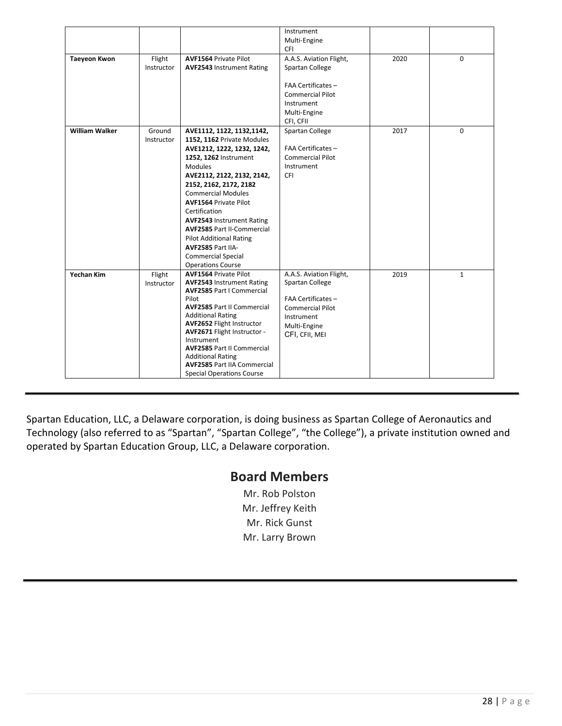|                       |                      |                                                                                                                                                                                                                                                                                                                                                                                                                                                           | Instrument<br>Multi-Engine<br>CFI                                                                                                      |      |              |
|-----------------------|----------------------|-----------------------------------------------------------------------------------------------------------------------------------------------------------------------------------------------------------------------------------------------------------------------------------------------------------------------------------------------------------------------------------------------------------------------------------------------------------|----------------------------------------------------------------------------------------------------------------------------------------|------|--------------|
| <b>Taeyeon Kwon</b>   | Flight<br>Instructor | <b>AVF1564 Private Pilot</b><br><b>AVF2543 Instrument Rating</b>                                                                                                                                                                                                                                                                                                                                                                                          | A.A.S. Aviation Flight,<br>Spartan College<br>FAA Certificates -<br><b>Commercial Pilot</b><br>Instrument<br>Multi-Engine<br>CFI, CFII | 2020 | 0            |
| <b>William Walker</b> | Ground<br>Instructor | AVE1112, 1122, 1132, 1142,<br>1152, 1162 Private Modules<br>AVE1212, 1222, 1232, 1242,<br>1252, 1262 Instrument<br>Modules<br>AVE2112, 2122, 2132, 2142,<br>2152, 2162, 2172, 2182<br><b>Commercial Modules</b><br><b>AVF1564 Private Pilot</b><br>Certification<br><b>AVF2543 Instrument Rating</b><br><b>AVF2585 Part II-Commercial</b><br><b>Pilot Additional Rating</b><br>AVF2585 Part IIA-<br><b>Commercial Special</b><br><b>Operations Course</b> | Spartan College<br>FAA Certificates -<br><b>Commercial Pilot</b><br>Instrument<br>CFI                                                  | 2017 | 0            |
| <b>Yechan Kim</b>     | Flight<br>Instructor | <b>AVF1564 Private Pilot</b><br><b>AVF2543 Instrument Rating</b><br><b>AVF2585 Part I Commercial</b><br>Pilot<br><b>AVF2585 Part II Commercial</b><br><b>Additional Rating</b><br>AVF2652 Flight Instructor<br>AVF2671 Flight Instructor -<br>Instrument<br><b>AVF2585 Part II Commercial</b><br><b>Additional Rating</b><br><b>AVF2585 Part IIA Commercial</b><br><b>Special Operations Course</b>                                                       | A.A.S. Aviation Flight,<br>Spartan College<br>FAA Certificates -<br>Commercial Pilot<br>Instrument<br>Multi-Engine<br>CFI, CFII, MEI   | 2019 | $\mathbf{1}$ |

Spartan Education, LLC, a Delaware corporation, is doing business as Spartan College of Aeronautics and Technology (also referred to as "Spartan", "Spartan College", "the College"), a private institution owned and operated by Spartan Education Group, LLC, a Delaware corporation.

#### **Board Members**

Mr. Rob Polston Mr. Jeffrey Keith Mr. Rick Gunst Mr. Larry Brown